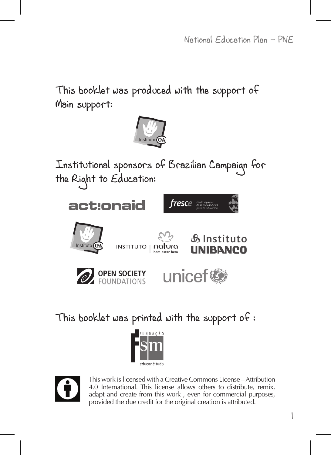This booklet was produced with the support of Main support:



This booklet was printed with the support of :





This work is licensed with a Creative Commons License – Attribution 4.0 International. This license allows others to distribute, remix, adapt and create from this work , even for commercial purposes, provided the due credit for the original creation is attributed.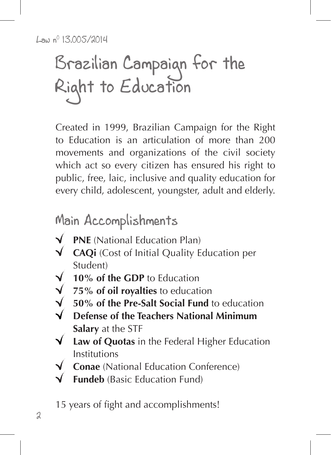Law n0 13.005/2014

# Brazilian Campaign for the Right to Education

Created in 1999, Brazilian Campaign for the Right to Education is an articulation of more than 200 movements and organizations of the civil society which act so every citizen has ensured his right to public, free, laic, inclusive and quality education for every child, adolescent, youngster, adult and elderly.

### Main Accomplishments

- **PNE** (National Education Plan)
- **CAQi** (Cost of Initial Quality Education per Student)
	- **10% of the GDP** to Education
	- **75% of oil royalties** to education
	- **50% of the Pre-Salt Social Fund** to education
- **Defense of the Teachers National Minimum Salary** at the STF
- **Law of Quotas** in the Federal Higher Education Institutions
	- **Conae** (National Education Conference)
	- **Fundeb** (Basic Education Fund)

15 years of fight and accomplishments!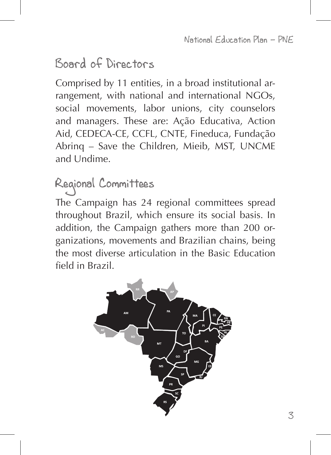### Board of Directors

Comprised by 11 entities, in a broad institutional arrangement, with national and international NGOs, social movements, labor unions, city counselors and managers. These are: Ação Educativa, Action Aid, CEDECA-CE, CCFL, CNTE, Fineduca, Fundação Abrinq – Save the Children, Mieib, MST, UNCME and Undime.

### Regional Committees

The Campaign has 24 regional committees spread throughout Brazil, which ensure its social basis. In addition, the Campaign gathers more than 200 organizations, movements and Brazilian chains, being the most diverse articulation in the Basic Education field in Brazil.

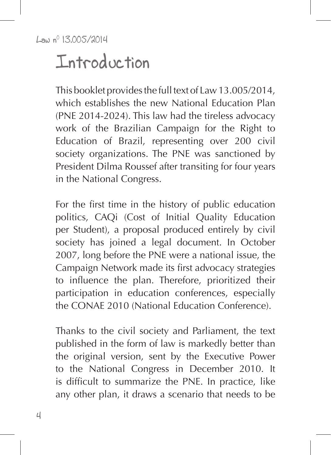## Introduction

This booklet provides the full text of Law 13.005/2014, which establishes the new National Education Plan (PNE 2014-2024). This law had the tireless advocacy work of the Brazilian Campaign for the Right to Education of Brazil, representing over 200 civil society organizations. The PNE was sanctioned by President Dilma Roussef after transiting for four years in the National Congress.

For the first time in the history of public education politics, CAQi (Cost of Initial Quality Education per Student), a proposal produced entirely by civil society has joined a legal document. In October 2007, long before the PNE were a national issue, the Campaign Network made its first advocacy strategies to influence the plan. Therefore, prioritized their participation in education conferences, especially the CONAE 2010 (National Education Conference).

Thanks to the civil society and Parliament, the text published in the form of law is markedly better than the original version, sent by the Executive Power to the National Congress in December 2010. It is difficult to summarize the PNE. In practice, like any other plan, it draws a scenario that needs to be

4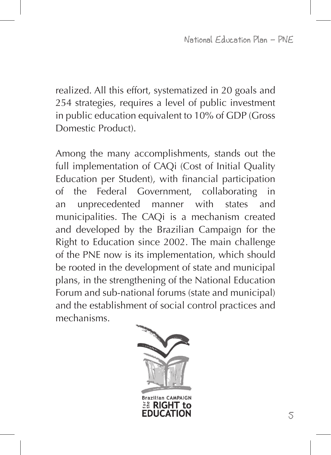realized. All this effort, systematized in 20 goals and 254 strategies, requires a level of public investment in public education equivalent to 10% of GDP (Gross Domestic Product).

Among the many accomplishments, stands out the full implementation of CAQi (Cost of Initial Quality Education per Student), with financial participation of the Federal Government, collaborating in an unprecedented manner with states and municipalities. The CAQi is a mechanism created and developed by the Brazilian Campaign for the Right to Education since 2002. The main challenge of the PNE now is its implementation, which should be rooted in the development of state and municipal plans, in the strengthening of the National Education Forum and sub-national forums (state and municipal) and the establishment of social control practices and mechanisms.

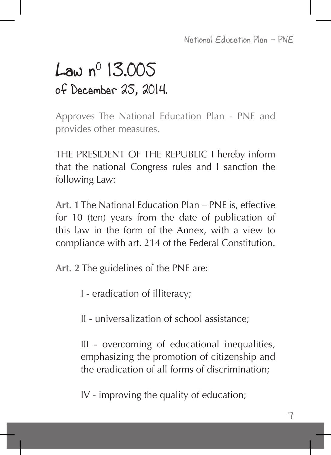# $L$ aw n $^{\circ}$  13.005 of December 25, 2014.

Approves The National Education Plan - PNE and provides other measures.

THE PRESIDENT OF THE REPUBLIC I hereby inform that the national Congress rules and I sanction the following Law:

**Art. 1** The National Education Plan – PNE is, effective for 10 (ten) years from the date of publication of this law in the form of the Annex, with a view to compliance with art. 214 of the Federal Constitution.

**Art. 2** The guidelines of the PNE are:

I - eradication of illiteracy;

II - universalization of school assistance;

III - overcoming of educational inequalities, emphasizing the promotion of citizenship and the eradication of all forms of discrimination;

IV - improving the quality of education;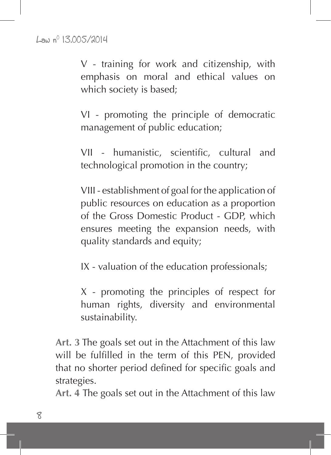V - training for work and citizenship, with emphasis on moral and ethical values on which society is based;

VI - promoting the principle of democratic management of public education;

VII - humanistic, scientific, cultural and technological promotion in the country;

VIII - establishment of goal for the application of public resources on education as a proportion of the Gross Domestic Product - GDP, which ensures meeting the expansion needs, with quality standards and equity;

IX - valuation of the education professionals;

X - promoting the principles of respect for human rights, diversity and environmental sustainability.

**Art. 3** The goals set out in the Attachment of this law will be fulfilled in the term of this PEN, provided that no shorter period defined for specific goals and strategies.

**Art. 4** The goals set out in the Attachment of this law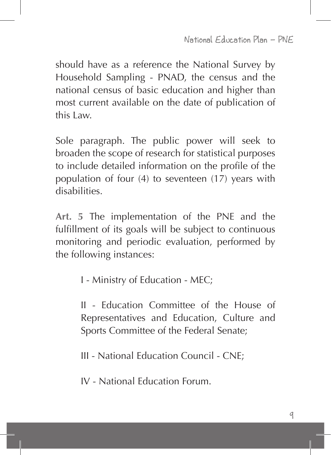National Education Plan - PNE

should have as a reference the National Survey by Household Sampling - PNAD, the census and the national census of basic education and higher than most current available on the date of publication of this Law.

Sole paragraph. The public power will seek to broaden the scope of research for statistical purposes to include detailed information on the profile of the population of four (4) to seventeen (17) years with disabilities.

**Art. 5** The implementation of the PNE and the fulfillment of its goals will be subject to continuous monitoring and periodic evaluation, performed by the following instances:

I - Ministry of Education - MEC;

II - Education Committee of the House of Representatives and Education, Culture and Sports Committee of the Federal Senate;

III - National Education Council - CNE;

IV - National Education Forum.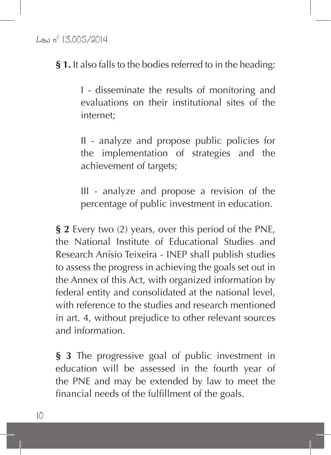**§ 1.** It also falls to the bodies referred to in the heading:

I - disseminate the results of monitoring and evaluations on their institutional sites of the internet;

II - analyze and propose public policies for the implementation of strategies and the achievement of targets;

III - analyze and propose a revision of the percentage of public investment in education.

**§ 2** Every two (2) years, over this period of the PNE, the National Institute of Educational Studies and Research Anísio Teixeira - INEP shall publish studies to assess the progress in achieving the goals set out in the Annex of this Act, with organized information by federal entity and consolidated at the national level, with reference to the studies and research mentioned in art. 4, without prejudice to other relevant sources and information.

**§ 3** The progressive goal of public investment in education will be assessed in the fourth year of the PNE and may be extended by law to meet the financial needs of the fulfillment of the goals.

 $10$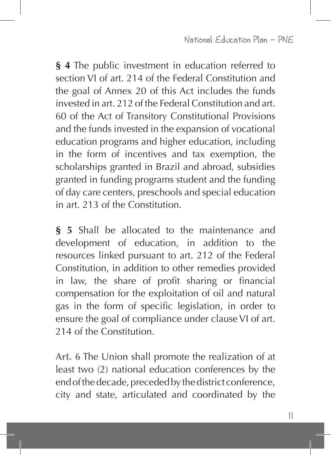**§ 4** The public investment in education referred to section VI of art. 214 of the Federal Constitution and the goal of Annex 20 of this Act includes the funds invested in art. 212 of the Federal Constitution and art. 60 of the Act of Transitory Constitutional Provisions and the funds invested in the expansion of vocational education programs and higher education, including in the form of incentives and tax exemption, the scholarships granted in Brazil and abroad, subsidies granted in funding programs student and the funding of day care centers, preschools and special education in art. 213 of the Constitution.

**§ 5** Shall be allocated to the maintenance and development of education, in addition to the resources linked pursuant to art. 212 of the Federal Constitution, in addition to other remedies provided in law, the share of profit sharing or financial compensation for the exploitation of oil and natural gas in the form of specific legislation, in order to ensure the goal of compliance under clause VI of art. 214 of the Constitution

**Art. 6** The Union shall promote the realization of at least two (2) national education conferences by the end of the decade, preceded by the district conference, city and state, articulated and coordinated by the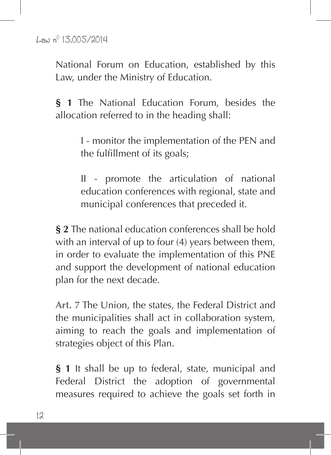National Forum on Education, established by this Law, under the Ministry of Education.

**§ 1** The National Education Forum, besides the allocation referred to in the heading shall:

> I - monitor the implementation of the PEN and the fulfillment of its goals;

> II - promote the articulation of national education conferences with regional, state and municipal conferences that preceded it.

**§ 2** The national education conferences shall be hold with an interval of up to four (4) years between them, in order to evaluate the implementation of this PNE and support the development of national education plan for the next decade.

**Art. 7** The Union, the states, the Federal District and the municipalities shall act in collaboration system, aiming to reach the goals and implementation of strategies object of this Plan.

**§ 1** It shall be up to federal, state, municipal and Federal District the adoption of governmental measures required to achieve the goals set forth in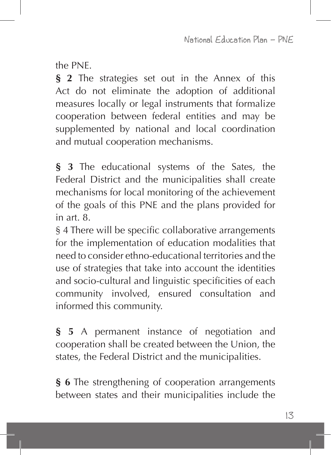National Education Plan - PNE

the PNE.

**§ 2** The strategies set out in the Annex of this Act do not eliminate the adoption of additional measures locally or legal instruments that formalize cooperation between federal entities and may be supplemented by national and local coordination and mutual cooperation mechanisms.

**§ 3** The educational systems of the Sates, the Federal District and the municipalities shall create mechanisms for local monitoring of the achievement of the goals of this PNE and the plans provided for in art. 8.

§ 4 There will be specific collaborative arrangements for the implementation of education modalities that need to consider ethno-educational territories and the use of strategies that take into account the identities and socio-cultural and linguistic specificities of each community involved, ensured consultation and informed this community.

**§ 5** A permanent instance of negotiation and cooperation shall be created between the Union, the states, the Federal District and the municipalities.

**§ 6** The strengthening of cooperation arrangements between states and their municipalities include the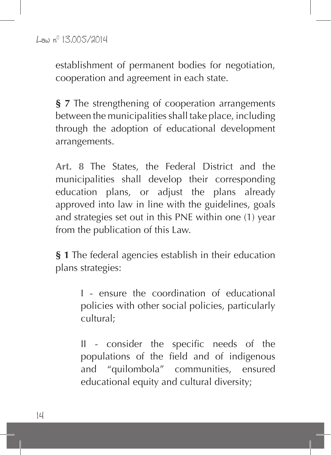establishment of permanent bodies for negotiation, cooperation and agreement in each state.

**§ 7** The strengthening of cooperation arrangements between the municipalities shall take place, including through the adoption of educational development arrangements.

**Art. 8** The States, the Federal District and the municipalities shall develop their corresponding education plans, or adjust the plans already approved into law in line with the guidelines, goals and strategies set out in this PNE within one (1) year from the publication of this Law.

**§ 1** The federal agencies establish in their education plans strategies:

> I - ensure the coordination of educational policies with other social policies, particularly cultural;

> II - consider the specific needs of the populations of the field and of indigenous and "quilombola" communities, ensured educational equity and cultural diversity;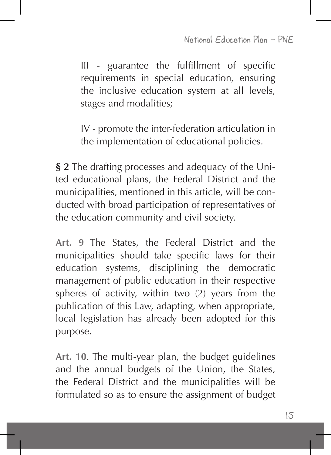III - guarantee the fulfillment of specific requirements in special education, ensuring the inclusive education system at all levels, stages and modalities;

IV - promote the inter-federation articulation in the implementation of educational policies.

**§ 2** The drafting processes and adequacy of the United educational plans, the Federal District and the municipalities, mentioned in this article, will be conducted with broad participation of representatives of the education community and civil society.

**Art. 9** The States, the Federal District and the municipalities should take specific laws for their education systems, disciplining the democratic management of public education in their respective spheres of activity, within two (2) years from the publication of this Law, adapting, when appropriate, local legislation has already been adopted for this purpose.

**Art. 10**. The multi-year plan, the budget guidelines and the annual budgets of the Union, the States, the Federal District and the municipalities will be formulated so as to ensure the assignment of budget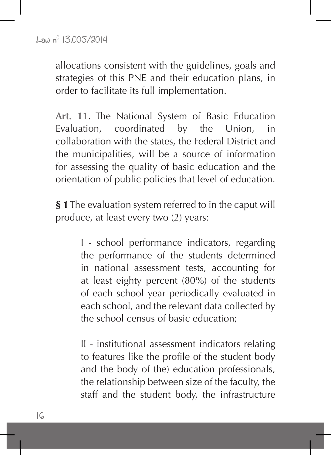allocations consistent with the guidelines, goals and strategies of this PNE and their education plans, in order to facilitate its full implementation.

**Art. 11**. The National System of Basic Education Evaluation, coordinated by the Union, in collaboration with the states, the Federal District and the municipalities, will be a source of information for assessing the quality of basic education and the orientation of public policies that level of education.

**§ 1** The evaluation system referred to in the caput will produce, at least every two (2) years:

> I - school performance indicators, regarding the performance of the students determined in national assessment tests, accounting for at least eighty percent (80%) of the students of each school year periodically evaluated in each school, and the relevant data collected by the school census of basic education;

> II - institutional assessment indicators relating to features like the profile of the student body and the body of the) education professionals, the relationship between size of the faculty, the staff and the student body, the infrastructure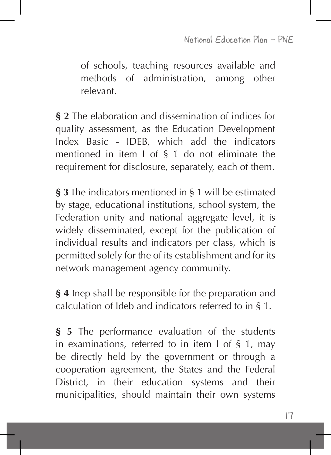of schools, teaching resources available and methods of administration, among other relevant.

**§ 2** The elaboration and dissemination of indices for quality assessment, as the Education Development Index Basic - IDEB, which add the indicators mentioned in item I of § 1 do not eliminate the requirement for disclosure, separately, each of them.

**§ 3** The indicators mentioned in § 1 will be estimated by stage, educational institutions, school system, the Federation unity and national aggregate level, it is widely disseminated, except for the publication of individual results and indicators per class, which is permitted solely for the of its establishment and for its network management agency community.

**§ 4** Inep shall be responsible for the preparation and calculation of Ideb and indicators referred to in § 1.

**§ 5** The performance evaluation of the students in examinations, referred to in item I of § 1, may be directly held by the government or through a cooperation agreement, the States and the Federal District, in their education systems and their municipalities, should maintain their own systems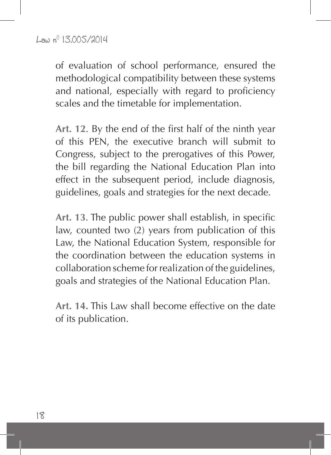of evaluation of school performance, ensured the methodological compatibility between these systems and national, especially with regard to proficiency scales and the timetable for implementation.

**Art. 12**. By the end of the first half of the ninth year of this PEN, the executive branch will submit to Congress, subject to the prerogatives of this Power, the bill regarding the National Education Plan into effect in the subsequent period, include diagnosis, guidelines, goals and strategies for the next decade.

**Art. 13**. The public power shall establish, in specific law, counted two (2) years from publication of this Law, the National Education System, responsible for the coordination between the education systems in collaboration scheme for realization of the guidelines, goals and strategies of the National Education Plan.

**Art. 14.** This Law shall become effective on the date of its publication.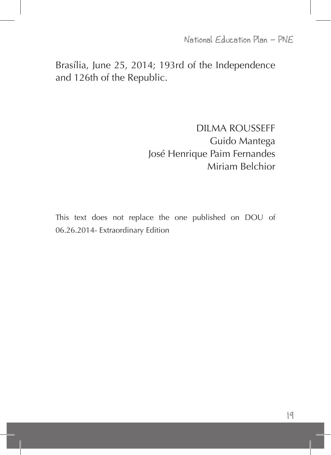Brasília, June 25, 2014; 193rd of the Independence and 126th of the Republic.

> DILMA ROUSSEFF Guido Mantega José Henrique Paim Fernandes Miriam Belchior

This text does not replace the one published on DOU of 06.26.2014- Extraordinary Edition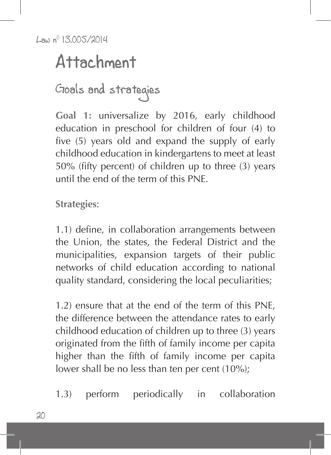### Attachment

Goals and strategies

**Goal 1:** universalize by 2016, early childhood education in preschool for children of four (4) to five (5) years old and expand the supply of early childhood education in kindergartens to meet at least 50% (fifty percent) of children up to three (3) years until the end of the term of this PNE.

**Strategies**:

1.1) define, in collaboration arrangements between the Union, the states, the Federal District and the municipalities, expansion targets of their public networks of child education according to national quality standard, considering the local peculiarities;

1.2) ensure that at the end of the term of this PNE, the difference between the attendance rates to early childhood education of children up to three (3) years originated from the fifth of family income per capita higher than the fifth of family income per capita lower shall be no less than ten per cent (10%);

1.3) perform periodically in collaboration

 $20$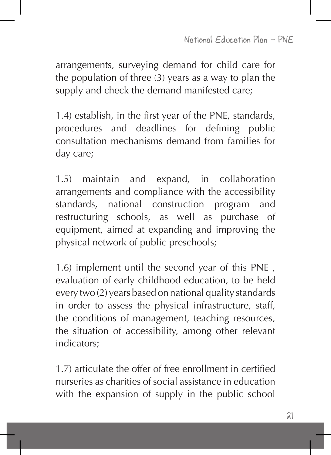arrangements, surveying demand for child care for the population of three (3) years as a way to plan the supply and check the demand manifested care;

1.4) establish, in the first year of the PNE, standards, procedures and deadlines for defining public consultation mechanisms demand from families for day care;

1.5) maintain and expand, in collaboration arrangements and compliance with the accessibility standards, national construction program and restructuring schools, as well as purchase of equipment, aimed at expanding and improving the physical network of public preschools;

1.6) implement until the second year of this PNE , evaluation of early childhood education, to be held every two (2) years based on national quality standards in order to assess the physical infrastructure, staff, the conditions of management, teaching resources, the situation of accessibility, among other relevant indicators;

1.7) articulate the offer of free enrollment in certified nurseries as charities of social assistance in education with the expansion of supply in the public school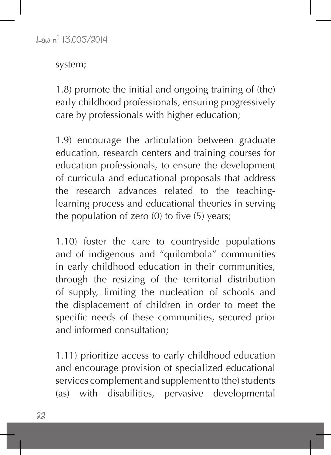system;

1.8) promote the initial and ongoing training of (the) early childhood professionals, ensuring progressively care by professionals with higher education;

1.9) encourage the articulation between graduate education, research centers and training courses for education professionals, to ensure the development of curricula and educational proposals that address the research advances related to the teachinglearning process and educational theories in serving the population of zero (0) to five (5) years;

1.10) foster the care to countryside populations and of indigenous and "quilombola" communities in early childhood education in their communities, through the resizing of the territorial distribution of supply, limiting the nucleation of schools and the displacement of children in order to meet the specific needs of these communities, secured prior and informed consultation;

1.11) prioritize access to early childhood education and encourage provision of specialized educational services complement and supplement to (the) students (as) with disabilities, pervasive developmental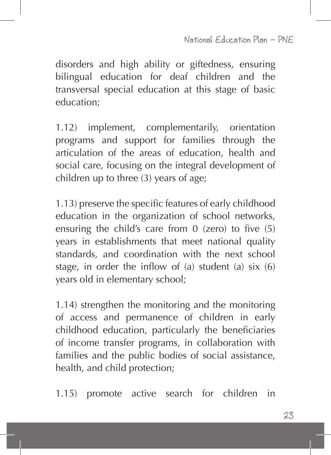disorders and high ability or giftedness, ensuring bilingual education for deaf children and the transversal special education at this stage of basic education;

1.12) implement, complementarily, orientation programs and support for families through the articulation of the areas of education, health and social care, focusing on the integral development of children up to three (3) years of age;

1.13) preserve the specific features of early childhood education in the organization of school networks, ensuring the child's care from 0 (zero) to five (5) years in establishments that meet national quality standards, and coordination with the next school stage, in order the inflow of (a) student (a) six (6) years old in elementary school;

1.14) strengthen the monitoring and the monitoring of access and permanence of children in early childhood education, particularly the beneficiaries of income transfer programs, in collaboration with families and the public bodies of social assistance, health, and child protection;

1.15) promote active search for children in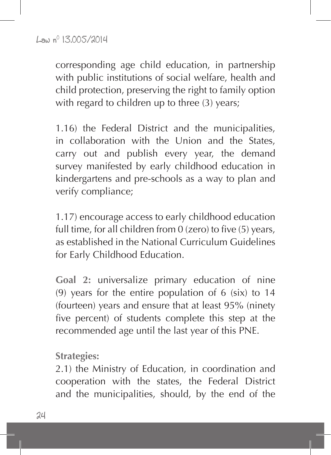corresponding age child education, in partnership with public institutions of social welfare, health and child protection, preserving the right to family option with regard to children up to three (3) years;

1.16) the Federal District and the municipalities, in collaboration with the Union and the States, carry out and publish every year, the demand survey manifested by early childhood education in kindergartens and pre-schools as a way to plan and verify compliance;

1.17) encourage access to early childhood education full time, for all children from 0 (zero) to five (5) years, as established in the National Curriculum Guidelines for Early Childhood Education.

**Goal 2:** universalize primary education of nine (9) years for the entire population of 6 (six) to 14 (fourteen) years and ensure that at least 95% (ninety five percent) of students complete this step at the recommended age until the last year of this PNE.

**Strategies:**

2.1) the Ministry of Education, in coordination and cooperation with the states, the Federal District and the municipalities, should, by the end of the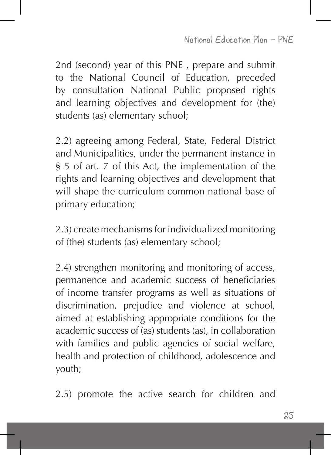National Education Plan - PNE

2nd (second) year of this PNE , prepare and submit to the National Council of Education, preceded by consultation National Public proposed rights and learning objectives and development for (the) students (as) elementary school;

2.2) agreeing among Federal, State, Federal District and Municipalities, under the permanent instance in § 5 of art. 7 of this Act, the implementation of the rights and learning objectives and development that will shape the curriculum common national base of primary education;

2.3) create mechanisms for individualized monitoring of (the) students (as) elementary school;

2.4) strengthen monitoring and monitoring of access, permanence and academic success of beneficiaries of income transfer programs as well as situations of discrimination, prejudice and violence at school, aimed at establishing appropriate conditions for the academic success of (as) students (as), in collaboration with families and public agencies of social welfare, health and protection of childhood, adolescence and youth;

2.5) promote the active search for children and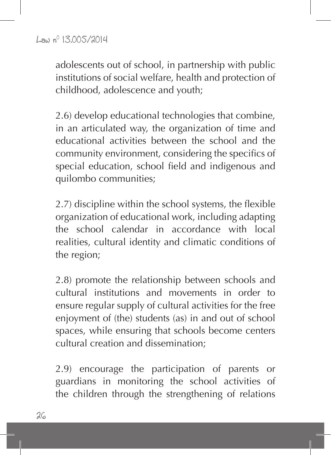adolescents out of school, in partnership with public institutions of social welfare, health and protection of childhood, adolescence and youth;

2.6) develop educational technologies that combine, in an articulated way, the organization of time and educational activities between the school and the community environment, considering the specifics of special education, school field and indigenous and quilombo communities;

2.7) discipline within the school systems, the flexible organization of educational work, including adapting the school calendar in accordance with local realities, cultural identity and climatic conditions of the region;

2.8) promote the relationship between schools and cultural institutions and movements in order to ensure regular supply of cultural activities for the free enjoyment of (the) students (as) in and out of school spaces, while ensuring that schools become centers cultural creation and dissemination;

2.9) encourage the participation of parents or guardians in monitoring the school activities of the children through the strengthening of relations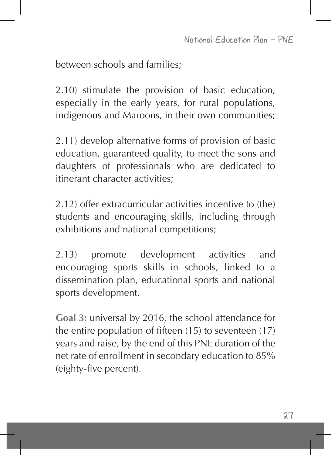between schools and families;

2.10) stimulate the provision of basic education, especially in the early years, for rural populations, indigenous and Maroons, in their own communities;

2.11) develop alternative forms of provision of basic education, guaranteed quality, to meet the sons and daughters of professionals who are dedicated to itinerant character activities;

2.12) offer extracurricular activities incentive to (the) students and encouraging skills, including through exhibitions and national competitions;

2.13) promote development activities and encouraging sports skills in schools, linked to a dissemination plan, educational sports and national sports development.

**Goal 3:** universal by 2016, the school attendance for the entire population of fifteen (15) to seventeen (17) years and raise, by the end of this PNE duration of the net rate of enrollment in secondary education to 85% (eighty-five percent).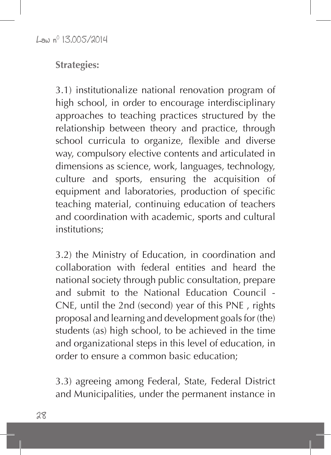#### **Strategies:**

3.1) institutionalize national renovation program of high school, in order to encourage interdisciplinary approaches to teaching practices structured by the relationship between theory and practice, through school curricula to organize, flexible and diverse way, compulsory elective contents and articulated in dimensions as science, work, languages, technology, culture and sports, ensuring the acquisition of equipment and laboratories, production of specific teaching material, continuing education of teachers and coordination with academic, sports and cultural institutions;

3.2) the Ministry of Education, in coordination and collaboration with federal entities and heard the national society through public consultation, prepare and submit to the National Education Council - CNE, until the 2nd (second) year of this PNE , rights proposal and learning and development goals for (the) students (as) high school, to be achieved in the time and organizational steps in this level of education, in order to ensure a common basic education;

3.3) agreeing among Federal, State, Federal District and Municipalities, under the permanent instance in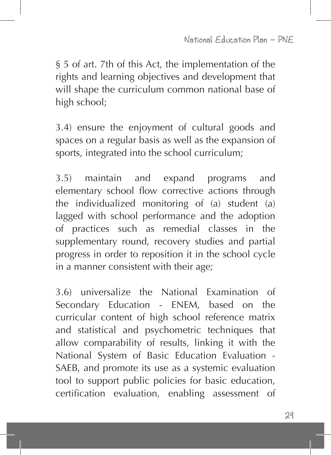§ 5 of art. 7th of this Act, the implementation of the rights and learning objectives and development that will shape the curriculum common national base of high school;

3.4) ensure the enjoyment of cultural goods and spaces on a regular basis as well as the expansion of sports, integrated into the school curriculum;

3.5) maintain and expand programs and elementary school flow corrective actions through the individualized monitoring of (a) student (a) lagged with school performance and the adoption of practices such as remedial classes in the supplementary round, recovery studies and partial progress in order to reposition it in the school cycle in a manner consistent with their age;

3.6) universalize the National Examination of Secondary Education - ENEM, based on the curricular content of high school reference matrix and statistical and psychometric techniques that allow comparability of results, linking it with the National System of Basic Education Evaluation - SAEB, and promote its use as a systemic evaluation tool to support public policies for basic education, certification evaluation, enabling assessment of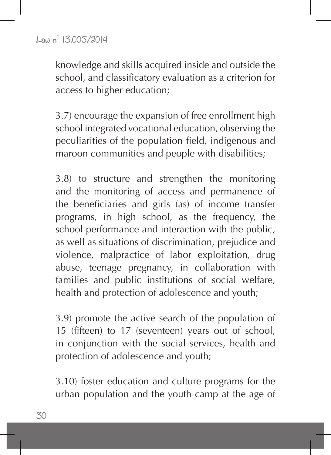knowledge and skills acquired inside and outside the school, and classificatory evaluation as a criterion for access to higher education;

3.7) encourage the expansion of free enrollment high school integrated vocational education, observing the peculiarities of the population field, indigenous and maroon communities and people with disabilities;

3.8) to structure and strengthen the monitoring and the monitoring of access and permanence of the beneficiaries and girls (as) of income transfer programs, in high school, as the frequency, the school performance and interaction with the public, as well as situations of discrimination, prejudice and violence, malpractice of labor exploitation, drug abuse, teenage pregnancy, in collaboration with families and public institutions of social welfare, health and protection of adolescence and youth;

3.9) promote the active search of the population of 15 (fifteen) to 17 (seventeen) years out of school, in conjunction with the social services, health and protection of adolescence and youth;

3.10) foster education and culture programs for the urban population and the youth camp at the age of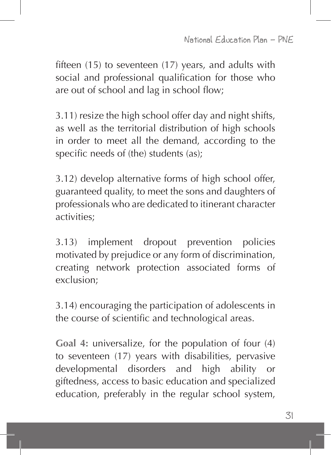fifteen (15) to seventeen (17) years, and adults with social and professional qualification for those who are out of school and lag in school flow;

3.11) resize the high school offer day and night shifts, as well as the territorial distribution of high schools in order to meet all the demand, according to the specific needs of (the) students (as);

3.12) develop alternative forms of high school offer, guaranteed quality, to meet the sons and daughters of professionals who are dedicated to itinerant character activities;

3.13) implement dropout prevention policies motivated by prejudice or any form of discrimination, creating network protection associated forms of exclusion;

3.14) encouraging the participation of adolescents in the course of scientific and technological areas.

**Goal 4:** universalize, for the population of four (4) to seventeen (17) years with disabilities, pervasive developmental disorders and high ability or giftedness, access to basic education and specialized education, preferably in the regular school system,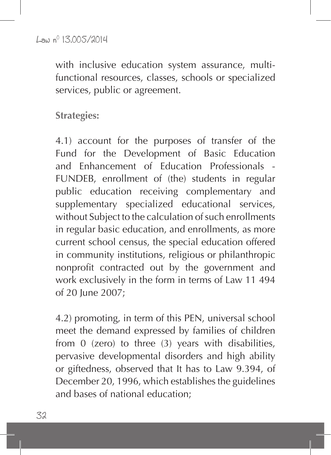with inclusive education system assurance, multifunctional resources, classes, schools or specialized services, public or agreement.

#### **Strategies:**

4.1) account for the purposes of transfer of the Fund for the Development of Basic Education and Enhancement of Education Professionals - FUNDEB, enrollment of (the) students in regular public education receiving complementary and supplementary specialized educational services, without Subject to the calculation of such enrollments in regular basic education, and enrollments, as more current school census, the special education offered in community institutions, religious or philanthropic nonprofit contracted out by the government and work exclusively in the form in terms of Law 11 494 of 20 June 2007;

4.2) promoting, in term of this PEN, universal school meet the demand expressed by families of children from 0 (zero) to three (3) years with disabilities, pervasive developmental disorders and high ability or giftedness, observed that It has to Law 9.394, of December 20, 1996, which establishes the guidelines and bases of national education;

32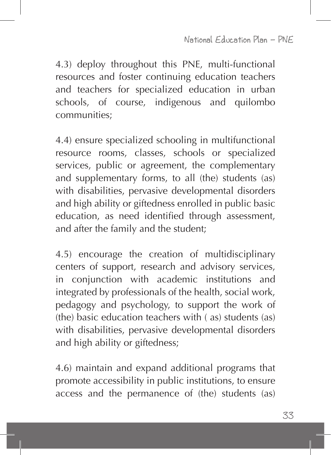4.3) deploy throughout this PNE, multi-functional resources and foster continuing education teachers and teachers for specialized education in urban schools, of course, indigenous and quilombo communities;

4.4) ensure specialized schooling in multifunctional resource rooms, classes, schools or specialized services, public or agreement, the complementary and supplementary forms, to all (the) students (as) with disabilities, pervasive developmental disorders and high ability or giftedness enrolled in public basic education, as need identified through assessment, and after the family and the student;

4.5) encourage the creation of multidisciplinary centers of support, research and advisory services, in conjunction with academic institutions and integrated by professionals of the health, social work, pedagogy and psychology, to support the work of (the) basic education teachers with ( as) students (as) with disabilities, pervasive developmental disorders and high ability or giftedness;

4.6) maintain and expand additional programs that promote accessibility in public institutions, to ensure access and the permanence of (the) students (as)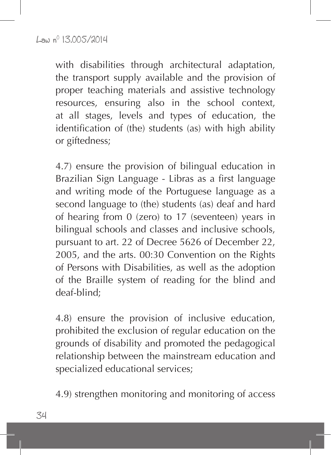with disabilities through architectural adaptation, the transport supply available and the provision of proper teaching materials and assistive technology resources, ensuring also in the school context, at all stages, levels and types of education, the identification of (the) students (as) with high ability or giftedness;

4.7) ensure the provision of bilingual education in Brazilian Sign Language - Libras as a first language and writing mode of the Portuguese language as a second language to (the) students (as) deaf and hard of hearing from 0 (zero) to 17 (seventeen) years in bilingual schools and classes and inclusive schools, pursuant to art. 22 of Decree 5626 of December 22, 2005, and the arts. 00:30 Convention on the Rights of Persons with Disabilities, as well as the adoption of the Braille system of reading for the blind and deaf-blind;

4.8) ensure the provision of inclusive education, prohibited the exclusion of regular education on the grounds of disability and promoted the pedagogical relationship between the mainstream education and specialized educational services;

4.9) strengthen monitoring and monitoring of access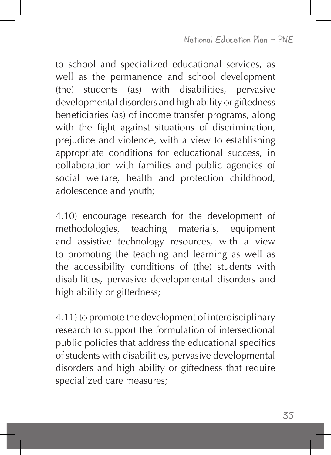to school and specialized educational services, as well as the permanence and school development (the) students (as) with disabilities, pervasive developmental disorders and high ability or giftedness beneficiaries (as) of income transfer programs, along with the fight against situations of discrimination, prejudice and violence, with a view to establishing appropriate conditions for educational success, in collaboration with families and public agencies of social welfare, health and protection childhood, adolescence and youth;

4.10) encourage research for the development of methodologies, teaching materials, equipment and assistive technology resources, with a view to promoting the teaching and learning as well as the accessibility conditions of (the) students with disabilities, pervasive developmental disorders and high ability or giftedness;

4.11) to promote the development of interdisciplinary research to support the formulation of intersectional public policies that address the educational specifics of students with disabilities, pervasive developmental disorders and high ability or giftedness that require specialized care measures;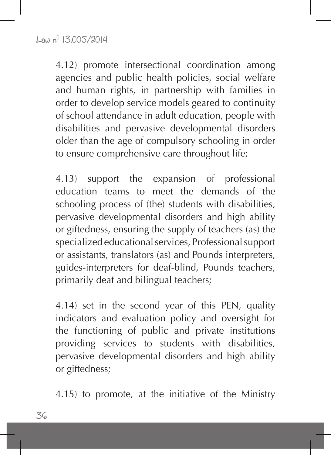4.12) promote intersectional coordination among agencies and public health policies, social welfare and human rights, in partnership with families in order to develop service models geared to continuity of school attendance in adult education, people with disabilities and pervasive developmental disorders older than the age of compulsory schooling in order to ensure comprehensive care throughout life;

4.13) support the expansion of professional education teams to meet the demands of the schooling process of (the) students with disabilities, pervasive developmental disorders and high ability or giftedness, ensuring the supply of teachers (as) the specialized educational services, Professional support or assistants, translators (as) and Pounds interpreters, guides-interpreters for deaf-blind, Pounds teachers, primarily deaf and bilingual teachers;

4.14) set in the second year of this PEN, quality indicators and evaluation policy and oversight for the functioning of public and private institutions providing services to students with disabilities, pervasive developmental disorders and high ability or giftedness;

4.15) to promote, at the initiative of the Ministry

36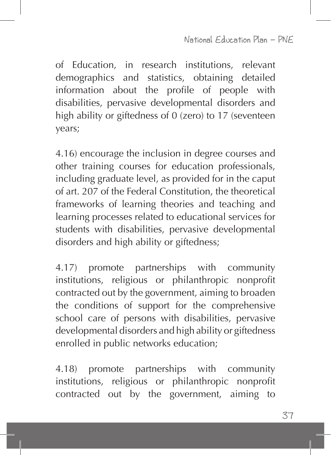National Education Plan - PNE

of Education, in research institutions, relevant demographics and statistics, obtaining detailed information about the profile of people with disabilities, pervasive developmental disorders and high ability or giftedness of 0 (zero) to 17 (seventeen years;

4.16) encourage the inclusion in degree courses and other training courses for education professionals, including graduate level, as provided for in the caput of art. 207 of the Federal Constitution, the theoretical frameworks of learning theories and teaching and learning processes related to educational services for students with disabilities, pervasive developmental disorders and high ability or giftedness;

4.17) promote partnerships with community institutions, religious or philanthropic nonprofit contracted out by the government, aiming to broaden the conditions of support for the comprehensive school care of persons with disabilities, pervasive developmental disorders and high ability or giftedness enrolled in public networks education;

4.18) promote partnerships with community institutions, religious or philanthropic nonprofit contracted out by the government, aiming to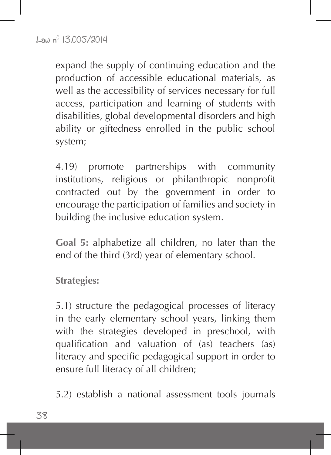expand the supply of continuing education and the production of accessible educational materials, as well as the accessibility of services necessary for full access, participation and learning of students with disabilities, global developmental disorders and high ability or giftedness enrolled in the public school system;

4.19) promote partnerships with community institutions, religious or philanthropic nonprofit contracted out by the government in order to encourage the participation of families and society in building the inclusive education system.

**Goal 5:** alphabetize all children, no later than the end of the third (3rd) year of elementary school.

**Strategies:**

5.1) structure the pedagogical processes of literacy in the early elementary school years, linking them with the strategies developed in preschool, with qualification and valuation of (as) teachers (as) literacy and specific pedagogical support in order to ensure full literacy of all children;

5.2) establish a national assessment tools journals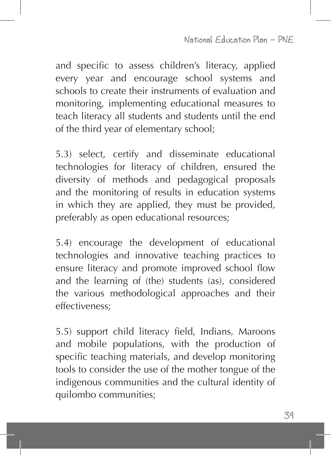and specific to assess children's literacy, applied every year and encourage school systems and schools to create their instruments of evaluation and monitoring, implementing educational measures to teach literacy all students and students until the end of the third year of elementary school;

5.3) select, certify and disseminate educational technologies for literacy of children, ensured the diversity of methods and pedagogical proposals and the monitoring of results in education systems in which they are applied, they must be provided, preferably as open educational resources;

5.4) encourage the development of educational technologies and innovative teaching practices to ensure literacy and promote improved school flow and the learning of (the) students (as), considered the various methodological approaches and their effectiveness;

5.5) support child literacy field, Indians, Maroons and mobile populations, with the production of specific teaching materials, and develop monitoring tools to consider the use of the mother tongue of the indigenous communities and the cultural identity of quilombo communities;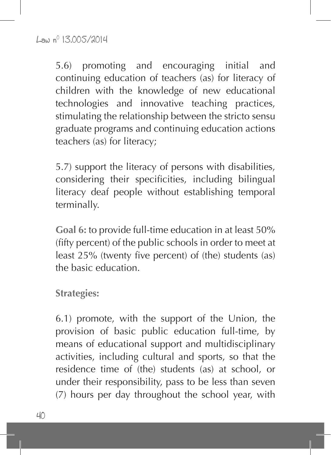5.6) promoting and encouraging initial and continuing education of teachers (as) for literacy of children with the knowledge of new educational technologies and innovative teaching practices, stimulating the relationship between the stricto sensu graduate programs and continuing education actions teachers (as) for literacy;

5.7) support the literacy of persons with disabilities, considering their specificities, including bilingual literacy deaf people without establishing temporal terminally.

**Goal 6:** to provide full-time education in at least 50% (fifty percent) of the public schools in order to meet at least 25% (twenty five percent) of (the) students (as) the basic education.

**Strategies:**

6.1) promote, with the support of the Union, the provision of basic public education full-time, by means of educational support and multidisciplinary activities, including cultural and sports, so that the residence time of (the) students (as) at school, or under their responsibility, pass to be less than seven (7) hours per day throughout the school year, with

 $40$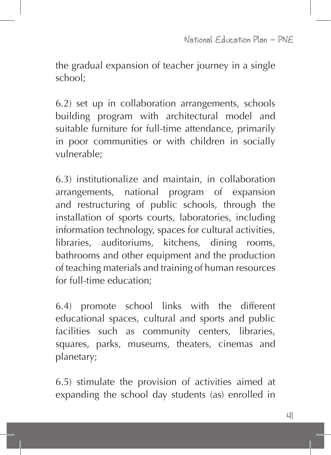the gradual expansion of teacher journey in a single school;

6.2) set up in collaboration arrangements, schools building program with architectural model and suitable furniture for full-time attendance, primarily in poor communities or with children in socially vulnerable;

6.3) institutionalize and maintain, in collaboration arrangements, national program of expansion and restructuring of public schools, through the installation of sports courts, laboratories, including information technology, spaces for cultural activities, libraries, auditoriums, kitchens, dining rooms, bathrooms and other equipment and the production of teaching materials and training of human resources for full-time education;

6.4) promote school links with the different educational spaces, cultural and sports and public facilities such as community centers, libraries, squares, parks, museums, theaters, cinemas and planetary;

6.5) stimulate the provision of activities aimed at expanding the school day students (as) enrolled in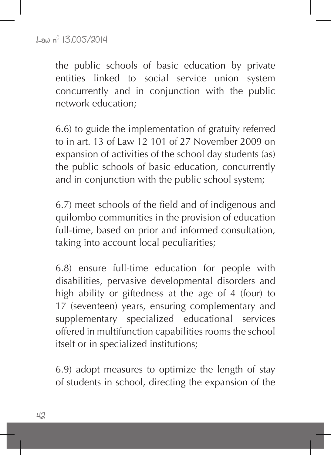the public schools of basic education by private entities linked to social service union system concurrently and in conjunction with the public network education;

6.6) to guide the implementation of gratuity referred to in art. 13 of Law 12 101 of 27 November 2009 on expansion of activities of the school day students (as) the public schools of basic education, concurrently and in conjunction with the public school system;

6.7) meet schools of the field and of indigenous and quilombo communities in the provision of education full-time, based on prior and informed consultation, taking into account local peculiarities;

6.8) ensure full-time education for people with disabilities, pervasive developmental disorders and high ability or giftedness at the age of 4 (four) to 17 (seventeen) years, ensuring complementary and supplementary specialized educational services offered in multifunction capabilities rooms the school itself or in specialized institutions;

6.9) adopt measures to optimize the length of stay of students in school, directing the expansion of the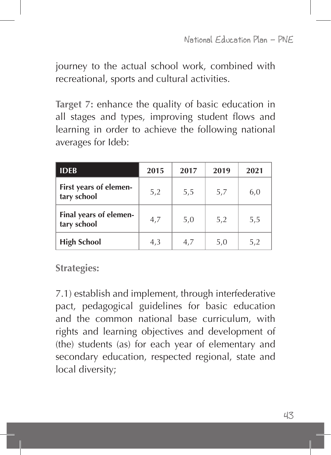journey to the actual school work, combined with recreational, sports and cultural activities.

**Target 7:** enhance the quality of basic education in all stages and types, improving student flows and learning in order to achieve the following national averages for Ideb:

| <b>IDEB</b>                           | 2015 | 2017 | 2019 | 2021 |
|---------------------------------------|------|------|------|------|
| First years of elemen-<br>tary school | 5,2  | 5,5  | 5,7  | 6,0  |
| Final years of elemen-<br>tary school | 4,7  | 5,0  | 5,2  | 5,5  |
| <b>High School</b>                    | 4,3  | 4,7  | 5,0  | 5,2  |

**Strategies:**

7.1) establish and implement, through interfederative pact, pedagogical guidelines for basic education and the common national base curriculum, with rights and learning objectives and development of (the) students (as) for each year of elementary and secondary education, respected regional, state and local diversity;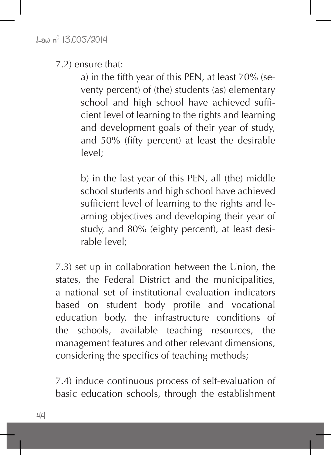7.2) ensure that:

a) in the fifth year of this PEN, at least 70% (seventy percent) of (the) students (as) elementary school and high school have achieved sufficient level of learning to the rights and learning and development goals of their year of study, and 50% (fifty percent) at least the desirable level;

b) in the last year of this PEN, all (the) middle school students and high school have achieved sufficient level of learning to the rights and learning objectives and developing their year of study, and 80% (eighty percent), at least desirable level;

7.3) set up in collaboration between the Union, the states, the Federal District and the municipalities, a national set of institutional evaluation indicators based on student body profile and vocational education body, the infrastructure conditions of the schools, available teaching resources, the management features and other relevant dimensions, considering the specifics of teaching methods;

7.4) induce continuous process of self-evaluation of basic education schools, through the establishment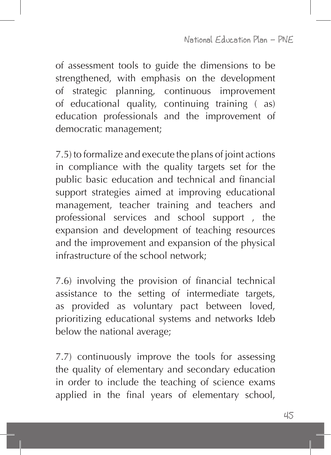of assessment tools to guide the dimensions to be strengthened, with emphasis on the development of strategic planning, continuous improvement of educational quality, continuing training ( as) education professionals and the improvement of democratic management;

7.5) to formalize and execute the plans of joint actions in compliance with the quality targets set for the public basic education and technical and financial support strategies aimed at improving educational management, teacher training and teachers and professional services and school support , the expansion and development of teaching resources and the improvement and expansion of the physical infrastructure of the school network;

7.6) involving the provision of financial technical assistance to the setting of intermediate targets, as provided as voluntary pact between loved, prioritizing educational systems and networks Ideb below the national average;

7.7) continuously improve the tools for assessing the quality of elementary and secondary education in order to include the teaching of science exams applied in the final years of elementary school,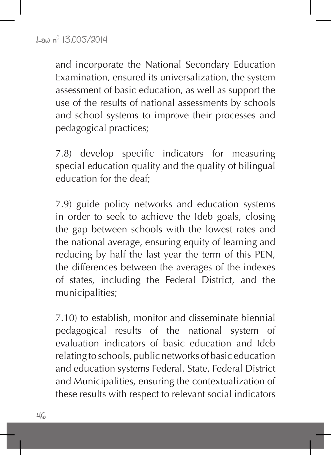and incorporate the National Secondary Education Examination, ensured its universalization, the system assessment of basic education, as well as support the use of the results of national assessments by schools and school systems to improve their processes and pedagogical practices;

7.8) develop specific indicators for measuring special education quality and the quality of bilingual education for the deaf;

7.9) guide policy networks and education systems in order to seek to achieve the Ideb goals, closing the gap between schools with the lowest rates and the national average, ensuring equity of learning and reducing by half the last year the term of this PEN, the differences between the averages of the indexes of states, including the Federal District, and the municipalities;

7.10) to establish, monitor and disseminate biennial pedagogical results of the national system of evaluation indicators of basic education and Ideb relating to schools, public networks of basic education and education systems Federal, State, Federal District and Municipalities, ensuring the contextualization of these results with respect to relevant social indicators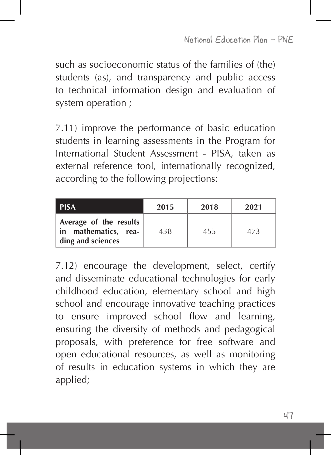such as socioeconomic status of the families of (the) students (as), and transparency and public access to technical information design and evaluation of system operation ;

7.11) improve the performance of basic education students in learning assessments in the Program for International Student Assessment - PISA, taken as external reference tool, internationally recognized, according to the following projections:

| PISA                                                                | 2015 | 2018 | 2021 |
|---------------------------------------------------------------------|------|------|------|
| Average of the results<br>in mathematics, rea-<br>ding and sciences | 438  | 455  | 473  |

7.12) encourage the development, select, certify and disseminate educational technologies for early childhood education, elementary school and high school and encourage innovative teaching practices to ensure improved school flow and learning, ensuring the diversity of methods and pedagogical proposals, with preference for free software and open educational resources, as well as monitoring of results in education systems in which they are applied;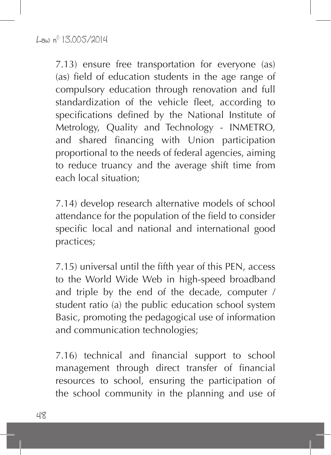7.13) ensure free transportation for everyone (as) (as) field of education students in the age range of compulsory education through renovation and full standardization of the vehicle fleet, according to specifications defined by the National Institute of Metrology, Quality and Technology - INMETRO, and shared financing with Union participation proportional to the needs of federal agencies, aiming to reduce truancy and the average shift time from each local situation;

7.14) develop research alternative models of school attendance for the population of the field to consider specific local and national and international good practices;

7.15) universal until the fifth year of this PEN, access to the World Wide Web in high-speed broadband and triple by the end of the decade, computer / student ratio (a) the public education school system Basic, promoting the pedagogical use of information and communication technologies;

7.16) technical and financial support to school management through direct transfer of financial resources to school, ensuring the participation of the school community in the planning and use of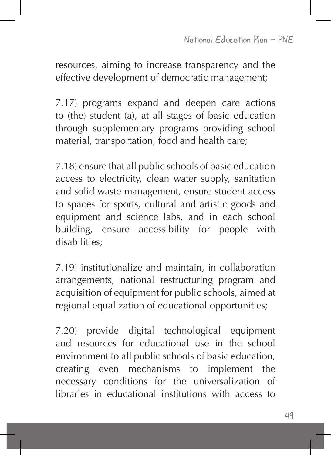resources, aiming to increase transparency and the effective development of democratic management;

7.17) programs expand and deepen care actions to (the) student (a), at all stages of basic education through supplementary programs providing school material, transportation, food and health care;

7.18) ensure that all public schools of basic education access to electricity, clean water supply, sanitation and solid waste management, ensure student access to spaces for sports, cultural and artistic goods and equipment and science labs, and in each school building, ensure accessibility for people with disabilities;

7.19) institutionalize and maintain, in collaboration arrangements, national restructuring program and acquisition of equipment for public schools, aimed at regional equalization of educational opportunities;

7.20) provide digital technological equipment and resources for educational use in the school environment to all public schools of basic education, creating even mechanisms to implement the necessary conditions for the universalization of libraries in educational institutions with access to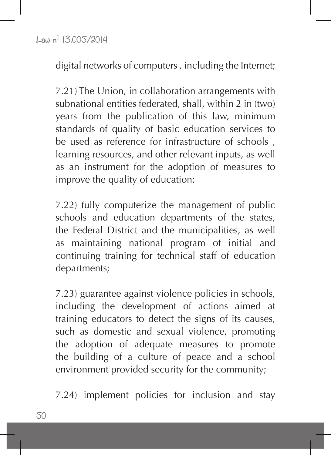digital networks of computers , including the Internet;

7.21) The Union, in collaboration arrangements with subnational entities federated, shall, within 2 in (two) years from the publication of this law, minimum standards of quality of basic education services to be used as reference for infrastructure of schools , learning resources, and other relevant inputs, as well as an instrument for the adoption of measures to improve the quality of education;

7.22) fully computerize the management of public schools and education departments of the states, the Federal District and the municipalities, as well as maintaining national program of initial and continuing training for technical staff of education departments;

7.23) guarantee against violence policies in schools, including the development of actions aimed at training educators to detect the signs of its causes, such as domestic and sexual violence, promoting the adoption of adequate measures to promote the building of a culture of peace and a school environment provided security for the community;

7.24) implement policies for inclusion and stay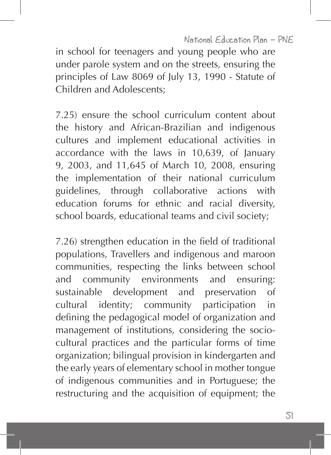National Education Plan - PNE

in school for teenagers and young people who are under parole system and on the streets, ensuring the principles of Law 8069 of July 13, 1990 - Statute of Children and Adolescents;

7.25) ensure the school curriculum content about the history and African-Brazilian and indigenous cultures and implement educational activities in accordance with the laws in 10,639, of January 9, 2003, and 11,645 of March 10, 2008, ensuring the implementation of their national curriculum guidelines, through collaborative actions with education forums for ethnic and racial diversity, school boards, educational teams and civil society;

7.26) strengthen education in the field of traditional populations, Travellers and indigenous and maroon communities, respecting the links between school and community environments and ensuring: sustainable development and preservation of cultural identity; community participation in defining the pedagogical model of organization and management of institutions, considering the sociocultural practices and the particular forms of time organization; bilingual provision in kindergarten and the early years of elementary school in mother tongue of indigenous communities and in Portuguese; the restructuring and the acquisition of equipment; the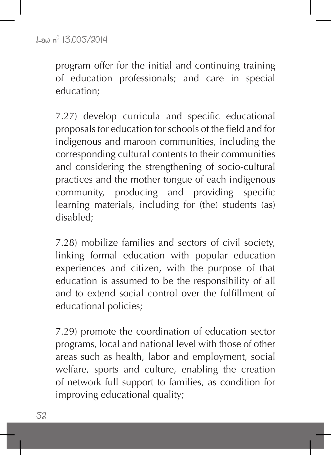program offer for the initial and continuing training of education professionals; and care in special education;

7.27) develop curricula and specific educational proposals for education for schools of the field and for indigenous and maroon communities, including the corresponding cultural contents to their communities and considering the strengthening of socio-cultural practices and the mother tongue of each indigenous community, producing and providing specific learning materials, including for (the) students (as) disabled;

7.28) mobilize families and sectors of civil society, linking formal education with popular education experiences and citizen, with the purpose of that education is assumed to be the responsibility of all and to extend social control over the fulfillment of educational policies;

7.29) promote the coordination of education sector programs, local and national level with those of other areas such as health, labor and employment, social welfare, sports and culture, enabling the creation of network full support to families, as condition for improving educational quality;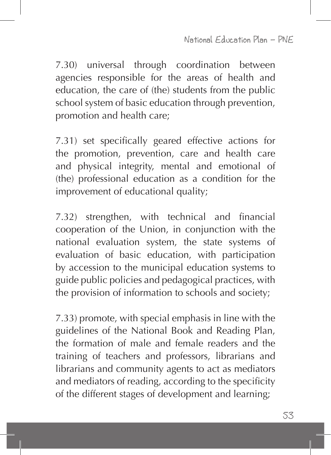7.30) universal through coordination between agencies responsible for the areas of health and education, the care of (the) students from the public school system of basic education through prevention, promotion and health care;

7.31) set specifically geared effective actions for the promotion, prevention, care and health care and physical integrity, mental and emotional of (the) professional education as a condition for the improvement of educational quality;

7.32) strengthen, with technical and financial cooperation of the Union, in conjunction with the national evaluation system, the state systems of evaluation of basic education, with participation by accession to the municipal education systems to guide public policies and pedagogical practices, with the provision of information to schools and society;

7.33) promote, with special emphasis in line with the guidelines of the National Book and Reading Plan, the formation of male and female readers and the training of teachers and professors, librarians and librarians and community agents to act as mediators and mediators of reading, according to the specificity of the different stages of development and learning;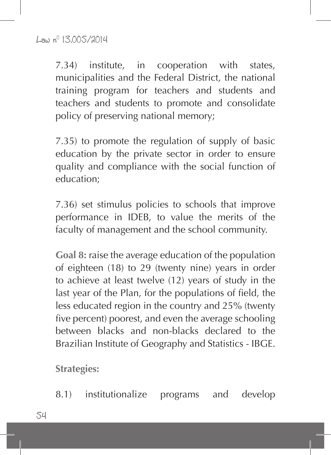7.34) institute, in cooperation with states, municipalities and the Federal District, the national training program for teachers and students and teachers and students to promote and consolidate policy of preserving national memory;

7.35) to promote the regulation of supply of basic education by the private sector in order to ensure quality and compliance with the social function of education;

7.36) set stimulus policies to schools that improve performance in IDEB, to value the merits of the faculty of management and the school community.

**Goal 8:** raise the average education of the population of eighteen (18) to 29 (twenty nine) years in order to achieve at least twelve (12) years of study in the last year of the Plan, for the populations of field, the less educated region in the country and 25% (twenty five percent) poorest, and even the average schooling between blacks and non-blacks declared to the Brazilian Institute of Geography and Statistics - IBGE.

**Strategies:**

8.1) institutionalize programs and develop

54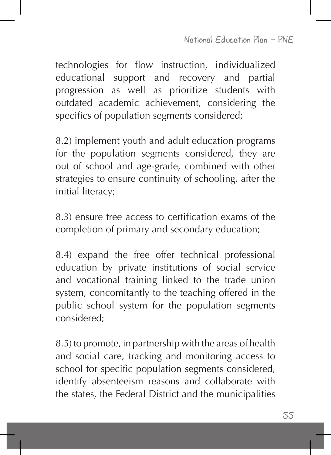National Education Plan - PNE

technologies for flow instruction, individualized educational support and recovery and partial progression as well as prioritize students with outdated academic achievement, considering the specifics of population segments considered;

8.2) implement youth and adult education programs for the population segments considered, they are out of school and age-grade, combined with other strategies to ensure continuity of schooling, after the initial literacy;

8.3) ensure free access to certification exams of the completion of primary and secondary education;

8.4) expand the free offer technical professional education by private institutions of social service and vocational training linked to the trade union system, concomitantly to the teaching offered in the public school system for the population segments considered;

8.5) to promote, in partnership with the areas of health and social care, tracking and monitoring access to school for specific population segments considered, identify absenteeism reasons and collaborate with the states, the Federal District and the municipalities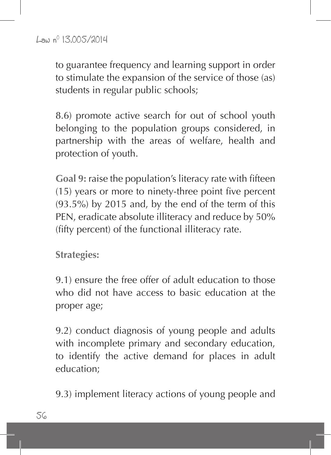to guarantee frequency and learning support in order to stimulate the expansion of the service of those (as) students in regular public schools;

8.6) promote active search for out of school youth belonging to the population groups considered, in partnership with the areas of welfare, health and protection of youth.

**Goal 9:** raise the population's literacy rate with fifteen (15) years or more to ninety-three point five percent (93.5%) by 2015 and, by the end of the term of this PEN, eradicate absolute illiteracy and reduce by 50% (fifty percent) of the functional illiteracy rate.

**Strategies:**

9.1) ensure the free offer of adult education to those who did not have access to basic education at the proper age;

9.2) conduct diagnosis of young people and adults with incomplete primary and secondary education, to identify the active demand for places in adult education;

9.3) implement literacy actions of young people and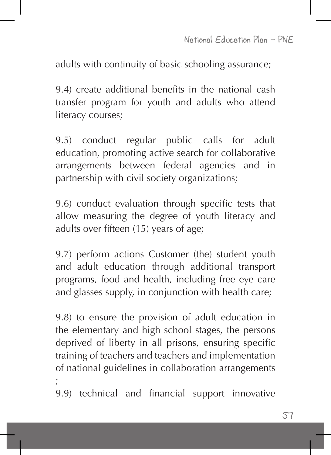adults with continuity of basic schooling assurance;

9.4) create additional benefits in the national cash transfer program for youth and adults who attend literacy courses;

9.5) conduct regular public calls for adult education, promoting active search for collaborative arrangements between federal agencies and in partnership with civil society organizations;

9.6) conduct evaluation through specific tests that allow measuring the degree of youth literacy and adults over fifteen (15) years of age;

9.7) perform actions Customer (the) student youth and adult education through additional transport programs, food and health, including free eye care and glasses supply, in conjunction with health care;

9.8) to ensure the provision of adult education in the elementary and high school stages, the persons deprived of liberty in all prisons, ensuring specific training of teachers and teachers and implementation of national guidelines in collaboration arrangements ;

9.9) technical and financial support innovative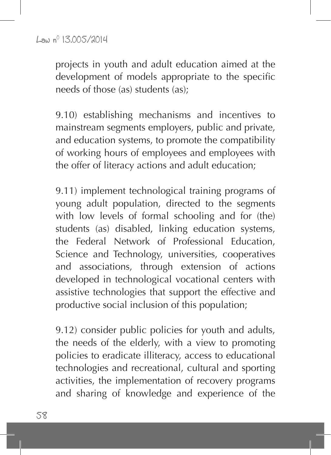projects in youth and adult education aimed at the development of models appropriate to the specific needs of those (as) students (as);

9.10) establishing mechanisms and incentives to mainstream segments employers, public and private, and education systems, to promote the compatibility of working hours of employees and employees with the offer of literacy actions and adult education;

9.11) implement technological training programs of young adult population, directed to the segments with low levels of formal schooling and for (the) students (as) disabled, linking education systems, the Federal Network of Professional Education, Science and Technology, universities, cooperatives and associations, through extension of actions developed in technological vocational centers with assistive technologies that support the effective and productive social inclusion of this population;

9.12) consider public policies for youth and adults, the needs of the elderly, with a view to promoting policies to eradicate illiteracy, access to educational technologies and recreational, cultural and sporting activities, the implementation of recovery programs and sharing of knowledge and experience of the

58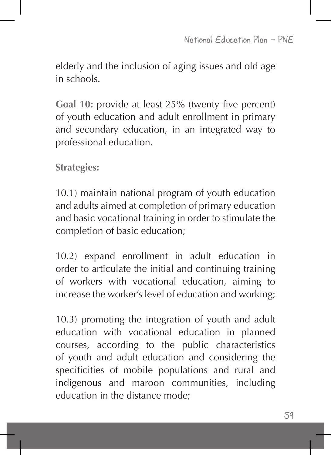elderly and the inclusion of aging issues and old age in schools.

**Goal 10:** provide at least 25% (twenty five percent) of youth education and adult enrollment in primary and secondary education, in an integrated way to professional education.

**Strategies:**

10.1) maintain national program of youth education and adults aimed at completion of primary education and basic vocational training in order to stimulate the completion of basic education;

10.2) expand enrollment in adult education in order to articulate the initial and continuing training of workers with vocational education, aiming to increase the worker's level of education and working;

10.3) promoting the integration of youth and adult education with vocational education in planned courses, according to the public characteristics of youth and adult education and considering the specificities of mobile populations and rural and indigenous and maroon communities, including education in the distance mode;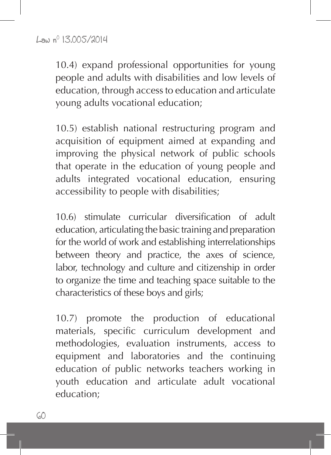10.4) expand professional opportunities for young people and adults with disabilities and low levels of education, through access to education and articulate young adults vocational education;

10.5) establish national restructuring program and acquisition of equipment aimed at expanding and improving the physical network of public schools that operate in the education of young people and adults integrated vocational education, ensuring accessibility to people with disabilities;

10.6) stimulate curricular diversification of adult education, articulating the basic training and preparation for the world of work and establishing interrelationships between theory and practice, the axes of science, labor, technology and culture and citizenship in order to organize the time and teaching space suitable to the characteristics of these boys and girls;

10.7) promote the production of educational materials, specific curriculum development and methodologies, evaluation instruments, access to equipment and laboratories and the continuing education of public networks teachers working in youth education and articulate adult vocational education;

 $G()$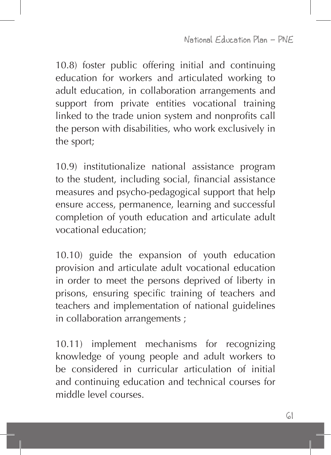10.8) foster public offering initial and continuing education for workers and articulated working to adult education, in collaboration arrangements and support from private entities vocational training linked to the trade union system and nonprofits call the person with disabilities, who work exclusively in the sport;

10.9) institutionalize national assistance program to the student, including social, financial assistance measures and psycho-pedagogical support that help ensure access, permanence, learning and successful completion of youth education and articulate adult vocational education;

10.10) guide the expansion of youth education provision and articulate adult vocational education in order to meet the persons deprived of liberty in prisons, ensuring specific training of teachers and teachers and implementation of national guidelines in collaboration arrangements ;

10.11) implement mechanisms for recognizing knowledge of young people and adult workers to be considered in curricular articulation of initial and continuing education and technical courses for middle level courses.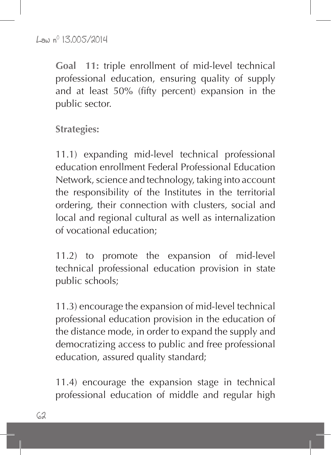**Goal 11:** triple enrollment of mid-level technical professional education, ensuring quality of supply and at least 50% (fifty percent) expansion in the public sector.

**Strategies:**

11.1) expanding mid-level technical professional education enrollment Federal Professional Education Network, science and technology, taking into account the responsibility of the Institutes in the territorial ordering, their connection with clusters, social and local and regional cultural as well as internalization of vocational education;

11.2) to promote the expansion of mid-level technical professional education provision in state public schools;

11.3) encourage the expansion of mid-level technical professional education provision in the education of the distance mode, in order to expand the supply and democratizing access to public and free professional education, assured quality standard;

11.4) encourage the expansion stage in technical professional education of middle and regular high

 $62$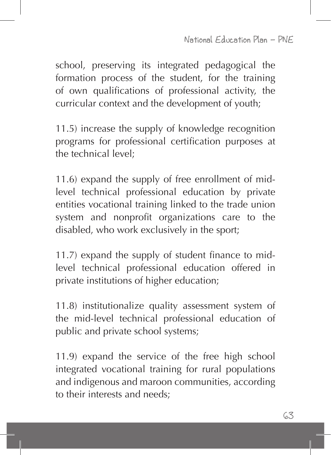school, preserving its integrated pedagogical the formation process of the student, for the training of own qualifications of professional activity, the curricular context and the development of youth;

11.5) increase the supply of knowledge recognition programs for professional certification purposes at the technical level;

11.6) expand the supply of free enrollment of midlevel technical professional education by private entities vocational training linked to the trade union system and nonprofit organizations care to the disabled, who work exclusively in the sport;

11.7) expand the supply of student finance to midlevel technical professional education offered in private institutions of higher education;

11.8) institutionalize quality assessment system of the mid-level technical professional education of public and private school systems;

11.9) expand the service of the free high school integrated vocational training for rural populations and indigenous and maroon communities, according to their interests and needs;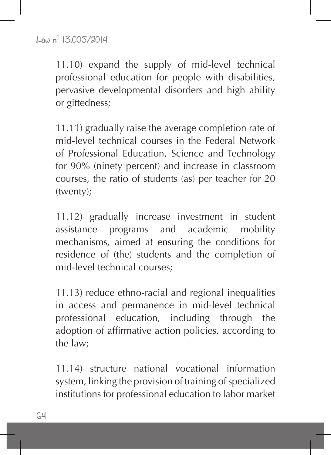11.10) expand the supply of mid-level technical professional education for people with disabilities, pervasive developmental disorders and high ability or giftedness;

11.11) gradually raise the average completion rate of mid-level technical courses in the Federal Network of Professional Education, Science and Technology for 90% (ninety percent) and increase in classroom courses, the ratio of students (as) per teacher for 20 (twenty);

11.12) gradually increase investment in student assistance programs and academic mobility mechanisms, aimed at ensuring the conditions for residence of (the) students and the completion of mid-level technical courses;

11.13) reduce ethno-racial and regional inequalities in access and permanence in mid-level technical professional education, including through the adoption of affirmative action policies, according to the law;

11.14) structure national vocational information system, linking the provision of training of specialized institutions for professional education to labor market

64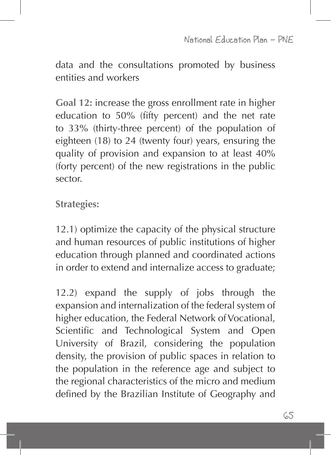data and the consultations promoted by business entities and workers

**Goal 12:** increase the gross enrollment rate in higher education to 50% (fifty percent) and the net rate to 33% (thirty-three percent) of the population of eighteen (18) to 24 (twenty four) years, ensuring the quality of provision and expansion to at least 40% (forty percent) of the new registrations in the public sector.

**Strategies:**

12.1) optimize the capacity of the physical structure and human resources of public institutions of higher education through planned and coordinated actions in order to extend and internalize access to graduate;

12.2) expand the supply of jobs through the expansion and internalization of the federal system of higher education, the Federal Network of Vocational, Scientific and Technological System and Open University of Brazil, considering the population density, the provision of public spaces in relation to the population in the reference age and subject to the regional characteristics of the micro and medium defined by the Brazilian Institute of Geography and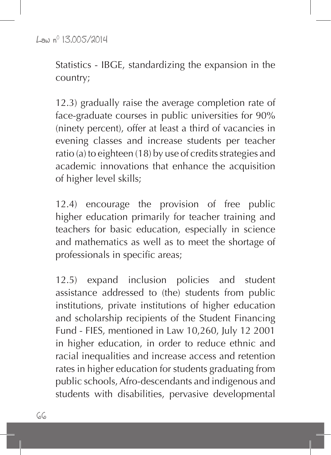Statistics - IBGE, standardizing the expansion in the country;

12.3) gradually raise the average completion rate of face-graduate courses in public universities for 90% (ninety percent), offer at least a third of vacancies in evening classes and increase students per teacher ratio (a) to eighteen (18) by use of credits strategies and academic innovations that enhance the acquisition of higher level skills;

12.4) encourage the provision of free public higher education primarily for teacher training and teachers for basic education, especially in science and mathematics as well as to meet the shortage of professionals in specific areas;

12.5) expand inclusion policies and student assistance addressed to (the) students from public institutions, private institutions of higher education and scholarship recipients of the Student Financing Fund - FIES, mentioned in Law 10,260, July 12 2001 in higher education, in order to reduce ethnic and racial inequalities and increase access and retention rates in higher education for students graduating from public schools, Afro-descendants and indigenous and students with disabilities, pervasive developmental

 $66$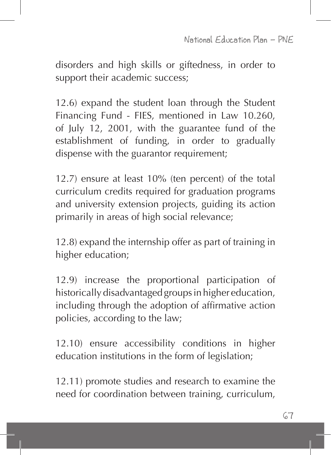disorders and high skills or giftedness, in order to support their academic success;

12.6) expand the student loan through the Student Financing Fund - FIES, mentioned in Law 10.260, of July 12, 2001, with the guarantee fund of the establishment of funding, in order to gradually dispense with the guarantor requirement;

12.7) ensure at least 10% (ten percent) of the total curriculum credits required for graduation programs and university extension projects, guiding its action primarily in areas of high social relevance;

12.8) expand the internship offer as part of training in higher education;

12.9) increase the proportional participation of historically disadvantaged groups in higher education, including through the adoption of affirmative action policies, according to the law;

12.10) ensure accessibility conditions in higher education institutions in the form of legislation;

12.11) promote studies and research to examine the need for coordination between training, curriculum,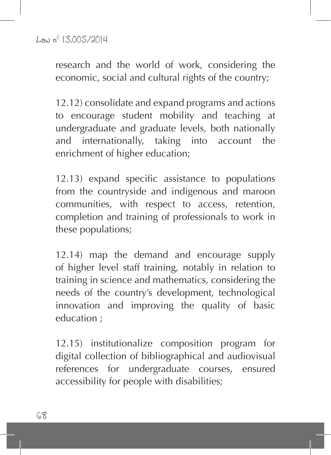research and the world of work, considering the economic, social and cultural rights of the country;

12.12) consolidate and expand programs and actions to encourage student mobility and teaching at undergraduate and graduate levels, both nationally and internationally, taking into account the enrichment of higher education;

12.13) expand specific assistance to populations from the countryside and indigenous and maroon communities, with respect to access, retention, completion and training of professionals to work in these populations;

12.14) map the demand and encourage supply of higher level staff training, notably in relation to training in science and mathematics, considering the needs of the country's development, technological innovation and improving the quality of basic education ;

12.15) institutionalize composition program for digital collection of bibliographical and audiovisual references for undergraduate courses, ensured accessibility for people with disabilities;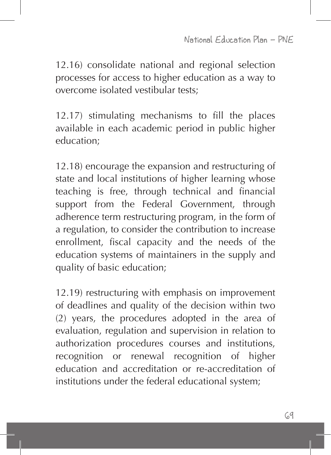12.16) consolidate national and regional selection processes for access to higher education as a way to overcome isolated vestibular tests;

12.17) stimulating mechanisms to fill the places available in each academic period in public higher education;

12.18) encourage the expansion and restructuring of state and local institutions of higher learning whose teaching is free, through technical and financial support from the Federal Government, through adherence term restructuring program, in the form of a regulation, to consider the contribution to increase enrollment, fiscal capacity and the needs of the education systems of maintainers in the supply and quality of basic education;

12.19) restructuring with emphasis on improvement of deadlines and quality of the decision within two (2) years, the procedures adopted in the area of evaluation, regulation and supervision in relation to authorization procedures courses and institutions, recognition or renewal recognition of higher education and accreditation or re-accreditation of institutions under the federal educational system;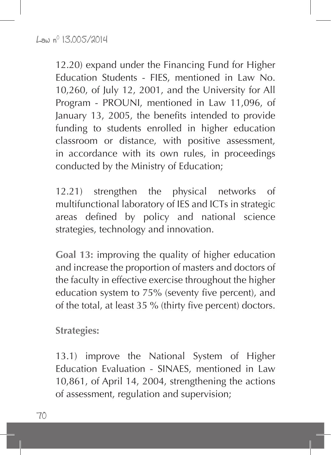12.20) expand under the Financing Fund for Higher Education Students - FIES, mentioned in Law No. 10,260, of July 12, 2001, and the University for All Program - PROUNI, mentioned in Law 11,096, of January 13, 2005, the benefits intended to provide funding to students enrolled in higher education classroom or distance, with positive assessment, in accordance with its own rules, in proceedings conducted by the Ministry of Education;

12.21) strengthen the physical networks of multifunctional laboratory of IES and ICTs in strategic areas defined by policy and national science strategies, technology and innovation.

**Goal 13:** improving the quality of higher education and increase the proportion of masters and doctors of the faculty in effective exercise throughout the higher education system to 75% (seventy five percent), and of the total, at least 35 % (thirty five percent) doctors.

**Strategies:**

13.1) improve the National System of Higher Education Evaluation - SINAES, mentioned in Law 10,861, of April 14, 2004, strengthening the actions of assessment, regulation and supervision;

 $70$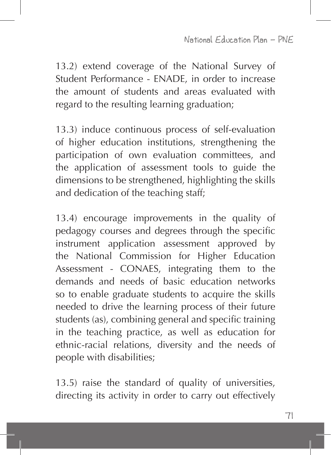13.2) extend coverage of the National Survey of Student Performance - ENADE, in order to increase the amount of students and areas evaluated with regard to the resulting learning graduation;

13.3) induce continuous process of self-evaluation of higher education institutions, strengthening the participation of own evaluation committees, and the application of assessment tools to guide the dimensions to be strengthened, highlighting the skills and dedication of the teaching staff;

13.4) encourage improvements in the quality of pedagogy courses and degrees through the specific instrument application assessment approved by the National Commission for Higher Education Assessment - CONAES, integrating them to the demands and needs of basic education networks so to enable graduate students to acquire the skills needed to drive the learning process of their future students (as), combining general and specific training in the teaching practice, as well as education for ethnic-racial relations, diversity and the needs of people with disabilities;

13.5) raise the standard of quality of universities, directing its activity in order to carry out effectively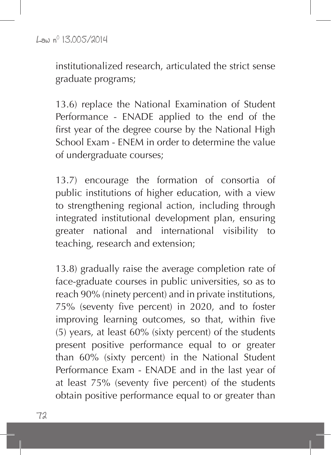institutionalized research, articulated the strict sense graduate programs;

13.6) replace the National Examination of Student Performance - ENADE applied to the end of the first year of the degree course by the National High School Exam - ENEM in order to determine the value of undergraduate courses;

13.7) encourage the formation of consortia of public institutions of higher education, with a view to strengthening regional action, including through integrated institutional development plan, ensuring greater national and international visibility to teaching, research and extension;

13.8) gradually raise the average completion rate of face-graduate courses in public universities, so as to reach 90% (ninety percent) and in private institutions, 75% (seventy five percent) in 2020, and to foster improving learning outcomes, so that, within five (5) years, at least 60% (sixty percent) of the students present positive performance equal to or greater than 60% (sixty percent) in the National Student Performance Exam - ENADE and in the last year of at least 75% (seventy five percent) of the students obtain positive performance equal to or greater than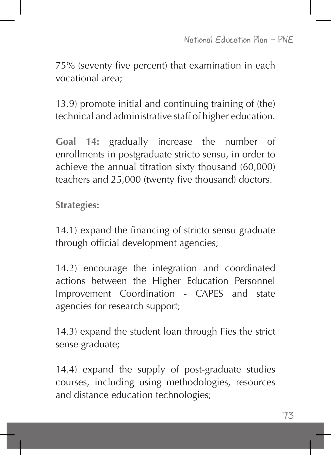75% (seventy five percent) that examination in each vocational area;

13.9) promote initial and continuing training of (the) technical and administrative staff of higher education.

**Goal 14:** gradually increase the number of enrollments in postgraduate stricto sensu, in order to achieve the annual titration sixty thousand (60,000) teachers and 25,000 (twenty five thousand) doctors.

**Strategies:**

14.1) expand the financing of stricto sensu graduate through official development agencies;

14.2) encourage the integration and coordinated actions between the Higher Education Personnel Improvement Coordination - CAPES and state agencies for research support;

14.3) expand the student loan through Fies the strict sense graduate;

14.4) expand the supply of post-graduate studies courses, including using methodologies, resources and distance education technologies;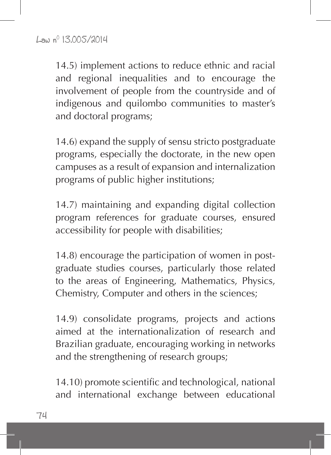14.5) implement actions to reduce ethnic and racial and regional inequalities and to encourage the involvement of people from the countryside and of indigenous and quilombo communities to master's and doctoral programs;

14.6) expand the supply of sensu stricto postgraduate programs, especially the doctorate, in the new open campuses as a result of expansion and internalization programs of public higher institutions;

14.7) maintaining and expanding digital collection program references for graduate courses, ensured accessibility for people with disabilities;

14.8) encourage the participation of women in postgraduate studies courses, particularly those related to the areas of Engineering, Mathematics, Physics, Chemistry, Computer and others in the sciences;

14.9) consolidate programs, projects and actions aimed at the internationalization of research and Brazilian graduate, encouraging working in networks and the strengthening of research groups;

14.10) promote scientific and technological, national and international exchange between educational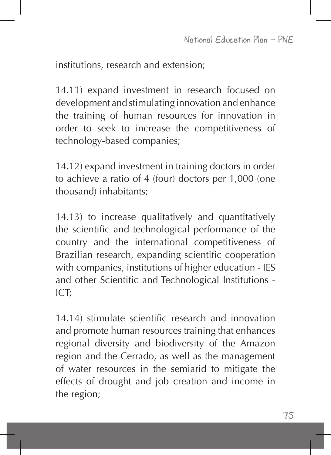institutions, research and extension;

14.11) expand investment in research focused on development and stimulating innovation and enhance the training of human resources for innovation in order to seek to increase the competitiveness of technology-based companies;

14.12) expand investment in training doctors in order to achieve a ratio of 4 (four) doctors per 1,000 (one thousand) inhabitants;

14.13) to increase qualitatively and quantitatively the scientific and technological performance of the country and the international competitiveness of Brazilian research, expanding scientific cooperation with companies, institutions of higher education - IES and other Scientific and Technological Institutions - ICT;

14.14) stimulate scientific research and innovation and promote human resources training that enhances regional diversity and biodiversity of the Amazon region and the Cerrado, as well as the management of water resources in the semiarid to mitigate the effects of drought and job creation and income in the region;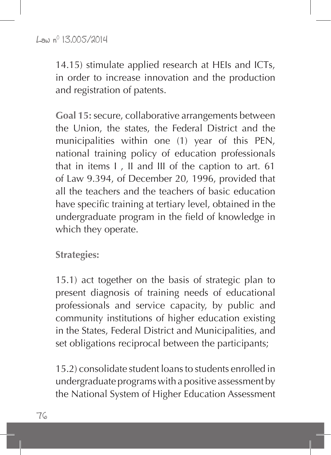14.15) stimulate applied research at HEIs and ICTs, in order to increase innovation and the production and registration of patents.

**Goal 15:** secure, collaborative arrangements between the Union, the states, the Federal District and the municipalities within one (1) year of this PEN, national training policy of education professionals that in items I , II and III of the caption to art. 61 of Law 9.394, of December 20, 1996, provided that all the teachers and the teachers of basic education have specific training at tertiary level, obtained in the undergraduate program in the field of knowledge in which they operate.

**Strategies:**

15.1) act together on the basis of strategic plan to present diagnosis of training needs of educational professionals and service capacity, by public and community institutions of higher education existing in the States, Federal District and Municipalities, and set obligations reciprocal between the participants;

15.2) consolidate student loans to students enrolled in undergraduate programs with a positive assessment by the National System of Higher Education Assessment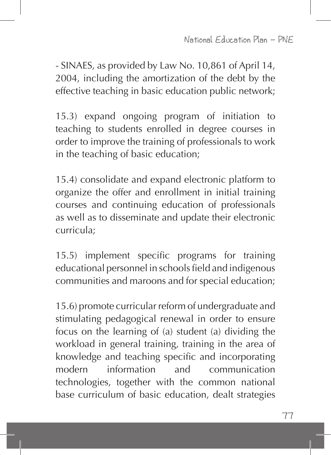- SINAES, as provided by Law No. 10,861 of April 14, 2004, including the amortization of the debt by the effective teaching in basic education public network;

15.3) expand ongoing program of initiation to teaching to students enrolled in degree courses in order to improve the training of professionals to work in the teaching of basic education;

15.4) consolidate and expand electronic platform to organize the offer and enrollment in initial training courses and continuing education of professionals as well as to disseminate and update their electronic curricula;

15.5) implement specific programs for training educational personnel in schools field and indigenous communities and maroons and for special education;

15.6) promote curricular reform of undergraduate and stimulating pedagogical renewal in order to ensure focus on the learning of (a) student (a) dividing the workload in general training, training in the area of knowledge and teaching specific and incorporating modern information and communication technologies, together with the common national base curriculum of basic education, dealt strategies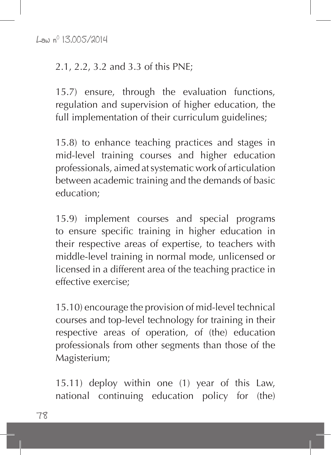2.1, 2.2, 3.2 and 3.3 of this PNE;

15.7) ensure, through the evaluation functions, regulation and supervision of higher education, the full implementation of their curriculum guidelines;

15.8) to enhance teaching practices and stages in mid-level training courses and higher education professionals, aimed at systematic work of articulation between academic training and the demands of basic education;

15.9) implement courses and special programs to ensure specific training in higher education in their respective areas of expertise, to teachers with middle-level training in normal mode, unlicensed or licensed in a different area of the teaching practice in effective exercise;

15.10) encourage the provision of mid-level technical courses and top-level technology for training in their respective areas of operation, of (the) education professionals from other segments than those of the Magisterium;

15.11) deploy within one (1) year of this Law, national continuing education policy for (the)

78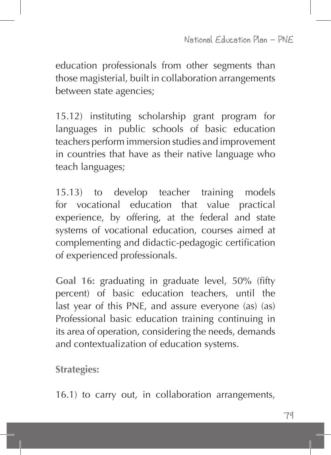education professionals from other segments than those magisterial, built in collaboration arrangements between state agencies;

15.12) instituting scholarship grant program for languages in public schools of basic education teachers perform immersion studies and improvement in countries that have as their native language who teach languages;

15.13) to develop teacher training models for vocational education that value practical experience, by offering, at the federal and state systems of vocational education, courses aimed at complementing and didactic-pedagogic certification of experienced professionals.

**Goal 16:** graduating in graduate level, 50% (fifty percent) of basic education teachers, until the last year of this PNE, and assure everyone (as) (as) Professional basic education training continuing in its area of operation, considering the needs, demands and contextualization of education systems.

**Strategies:**

16.1) to carry out, in collaboration arrangements,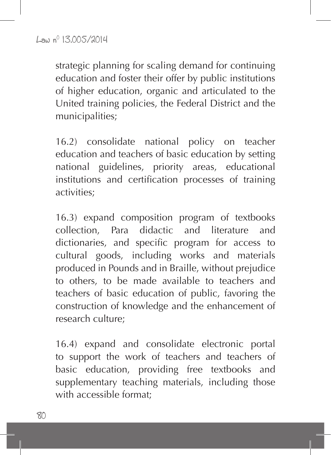strategic planning for scaling demand for continuing education and foster their offer by public institutions of higher education, organic and articulated to the United training policies, the Federal District and the municipalities;

16.2) consolidate national policy on teacher education and teachers of basic education by setting national guidelines, priority areas, educational institutions and certification processes of training activities;

16.3) expand composition program of textbooks collection, Para didactic and literature and dictionaries, and specific program for access to cultural goods, including works and materials produced in Pounds and in Braille, without prejudice to others, to be made available to teachers and teachers of basic education of public, favoring the construction of knowledge and the enhancement of research culture;

16.4) expand and consolidate electronic portal to support the work of teachers and teachers of basic education, providing free textbooks and supplementary teaching materials, including those with accessible format;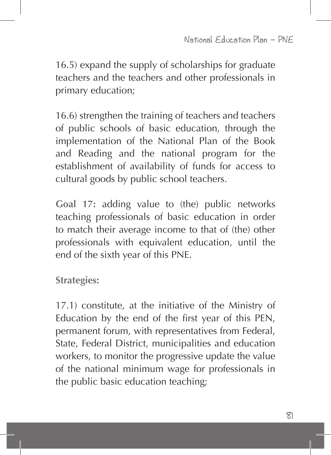16.5) expand the supply of scholarships for graduate teachers and the teachers and other professionals in primary education;

16.6) strengthen the training of teachers and teachers of public schools of basic education, through the implementation of the National Plan of the Book and Reading and the national program for the establishment of availability of funds for access to cultural goods by public school teachers.

**Goal 17:** adding value to (the) public networks teaching professionals of basic education in order to match their average income to that of (the) other professionals with equivalent education, until the end of the sixth year of this PNE.

**Strategies:**

17.1) constitute, at the initiative of the Ministry of Education by the end of the first year of this PEN, permanent forum, with representatives from Federal, State, Federal District, municipalities and education workers, to monitor the progressive update the value of the national minimum wage for professionals in the public basic education teaching;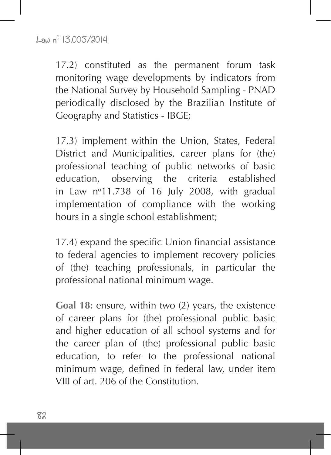17.2) constituted as the permanent forum task monitoring wage developments by indicators from the National Survey by Household Sampling - PNAD periodically disclosed by the Brazilian Institute of Geography and Statistics - IBGE;

17.3) implement within the Union, States, Federal District and Municipalities, career plans for (the) professional teaching of public networks of basic education, observing the criteria established in Law no 11.738 of 16 July 2008, with gradual implementation of compliance with the working hours in a single school establishment;

17.4) expand the specific Union financial assistance to federal agencies to implement recovery policies of (the) teaching professionals, in particular the professional national minimum wage.

**Goal 18:** ensure, within two (2) years, the existence of career plans for (the) professional public basic and higher education of all school systems and for the career plan of (the) professional public basic education, to refer to the professional national minimum wage, defined in federal law, under item VIII of art. 206 of the Constitution.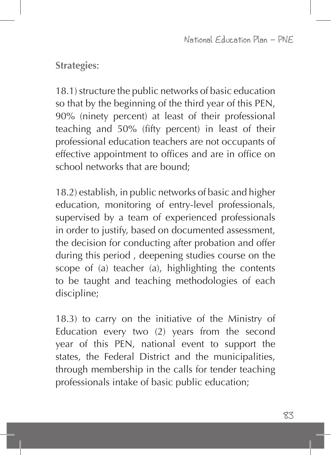National Education Plan - PNE

**Strategies**:

18.1) structure the public networks of basic education so that by the beginning of the third year of this PEN, 90% (ninety percent) at least of their professional teaching and 50% (fifty percent) in least of their professional education teachers are not occupants of effective appointment to offices and are in office on school networks that are bound;

18.2) establish, in public networks of basic and higher education, monitoring of entry-level professionals, supervised by a team of experienced professionals in order to justify, based on documented assessment, the decision for conducting after probation and offer during this period , deepening studies course on the scope of (a) teacher (a), highlighting the contents to be taught and teaching methodologies of each discipline;

18.3) to carry on the initiative of the Ministry of Education every two (2) years from the second year of this PEN, national event to support the states, the Federal District and the municipalities, through membership in the calls for tender teaching professionals intake of basic public education;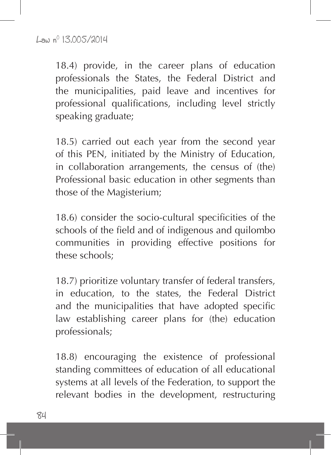18.4) provide, in the career plans of education professionals the States, the Federal District and the municipalities, paid leave and incentives for professional qualifications, including level strictly speaking graduate;

18.5) carried out each year from the second year of this PEN, initiated by the Ministry of Education, in collaboration arrangements, the census of (the) Professional basic education in other segments than those of the Magisterium;

18.6) consider the socio-cultural specificities of the schools of the field and of indigenous and quilombo communities in providing effective positions for these schools;

18.7) prioritize voluntary transfer of federal transfers, in education, to the states, the Federal District and the municipalities that have adopted specific law establishing career plans for (the) education professionals;

18.8) encouraging the existence of professional standing committees of education of all educational systems at all levels of the Federation, to support the relevant bodies in the development, restructuring

84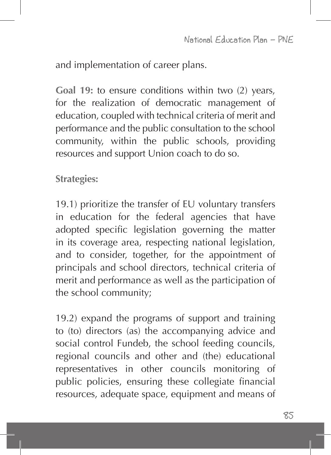and implementation of career plans.

**Goal 19:** to ensure conditions within two (2) years, for the realization of democratic management of education, coupled with technical criteria of merit and performance and the public consultation to the school community, within the public schools, providing resources and support Union coach to do so.

**Strategies:**

19.1) prioritize the transfer of EU voluntary transfers in education for the federal agencies that have adopted specific legislation governing the matter in its coverage area, respecting national legislation, and to consider, together, for the appointment of principals and school directors, technical criteria of merit and performance as well as the participation of the school community;

19.2) expand the programs of support and training to (to) directors (as) the accompanying advice and social control Fundeb, the school feeding councils, regional councils and other and (the) educational representatives in other councils monitoring of public policies, ensuring these collegiate financial resources, adequate space, equipment and means of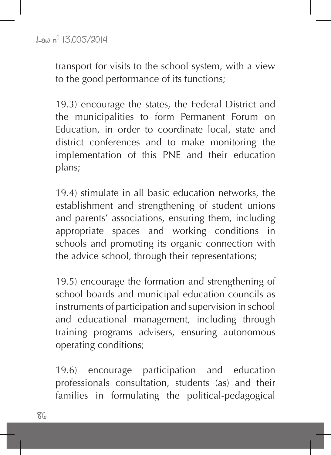transport for visits to the school system, with a view to the good performance of its functions;

19.3) encourage the states, the Federal District and the municipalities to form Permanent Forum on Education, in order to coordinate local, state and district conferences and to make monitoring the implementation of this PNE and their education plans;

19.4) stimulate in all basic education networks, the establishment and strengthening of student unions and parents' associations, ensuring them, including appropriate spaces and working conditions in schools and promoting its organic connection with the advice school, through their representations;

19.5) encourage the formation and strengthening of school boards and municipal education councils as instruments of participation and supervision in school and educational management, including through training programs advisers, ensuring autonomous operating conditions;

19.6) encourage participation and education professionals consultation, students (as) and their families in formulating the political-pedagogical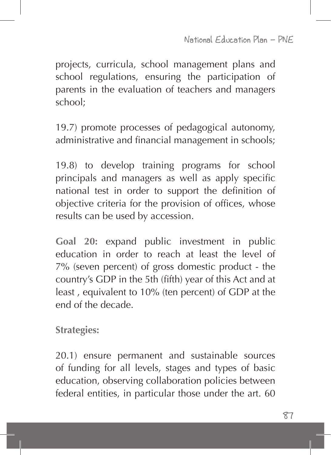National Education Plan - PNE

projects, curricula, school management plans and school regulations, ensuring the participation of parents in the evaluation of teachers and managers school;

19.7) promote processes of pedagogical autonomy, administrative and financial management in schools;

19.8) to develop training programs for school principals and managers as well as apply specific national test in order to support the definition of objective criteria for the provision of offices, whose results can be used by accession.

**Goal 20:** expand public investment in public education in order to reach at least the level of 7% (seven percent) of gross domestic product - the country's GDP in the 5th (fifth) year of this Act and at least , equivalent to 10% (ten percent) of GDP at the end of the decade.

**Strategies:**

20.1) ensure permanent and sustainable sources of funding for all levels, stages and types of basic education, observing collaboration policies between federal entities, in particular those under the art. 60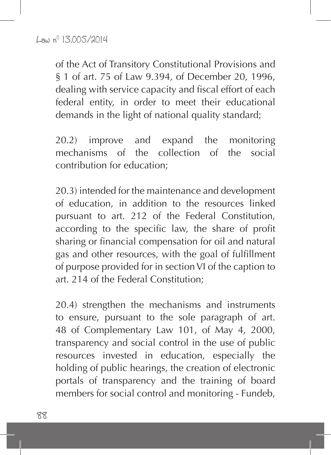of the Act of Transitory Constitutional Provisions and § 1 of art. 75 of Law 9.394, of December 20, 1996, dealing with service capacity and fiscal effort of each federal entity, in order to meet their educational demands in the light of national quality standard;

20.2) improve and expand the monitoring mechanisms of the collection of the social contribution for education;

20.3) intended for the maintenance and development of education, in addition to the resources linked pursuant to art. 212 of the Federal Constitution, according to the specific law, the share of profit sharing or financial compensation for oil and natural gas and other resources, with the goal of fulfillment of purpose provided for in section VI of the caption to art. 214 of the Federal Constitution;

20.4) strengthen the mechanisms and instruments to ensure, pursuant to the sole paragraph of art. 48 of Complementary Law 101, of May 4, 2000, transparency and social control in the use of public resources invested in education, especially the holding of public hearings, the creation of electronic portals of transparency and the training of board members for social control and monitoring - Fundeb,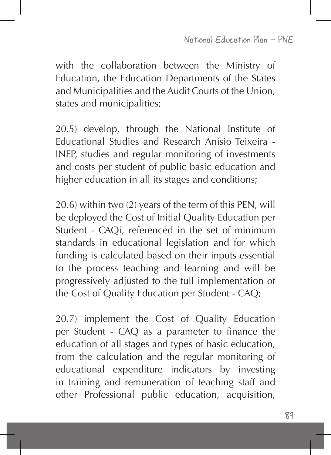with the collaboration between the Ministry of Education, the Education Departments of the States and Municipalities and the Audit Courts of the Union, states and municipalities;

20.5) develop, through the National Institute of Educational Studies and Research Anísio Teixeira - INEP, studies and regular monitoring of investments and costs per student of public basic education and higher education in all its stages and conditions;

20.6) within two (2) years of the term of this PEN, will be deployed the Cost of Initial Quality Education per Student - CAQi, referenced in the set of minimum standards in educational legislation and for which funding is calculated based on their inputs essential to the process teaching and learning and will be progressively adjusted to the full implementation of the Cost of Quality Education per Student - CAQ;

20.7) implement the Cost of Quality Education per Student - CAQ as a parameter to finance the education of all stages and types of basic education, from the calculation and the regular monitoring of educational expenditure indicators by investing in training and remuneration of teaching staff and other Professional public education, acquisition,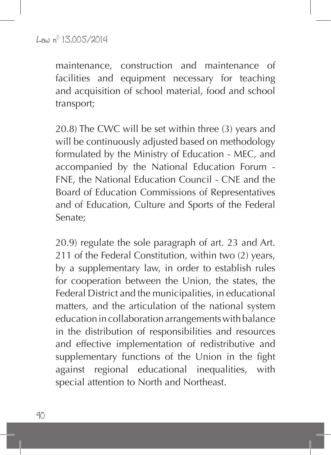maintenance, construction and maintenance of facilities and equipment necessary for teaching and acquisition of school material, food and school transport;

20.8) The CWC will be set within three (3) years and will be continuously adjusted based on methodology formulated by the Ministry of Education - MEC, and accompanied by the National Education Forum - FNE, the National Education Council - CNE and the Board of Education Commissions of Representatives and of Education, Culture and Sports of the Federal Senate;

20.9) regulate the sole paragraph of art. 23 and Art. 211 of the Federal Constitution, within two (2) years, by a supplementary law, in order to establish rules for cooperation between the Union, the states, the Federal District and the municipalities, in educational matters, and the articulation of the national system education in collaboration arrangements with balance in the distribution of responsibilities and resources and effective implementation of redistributive and supplementary functions of the Union in the fight against regional educational inequalities, with special attention to North and Northeast.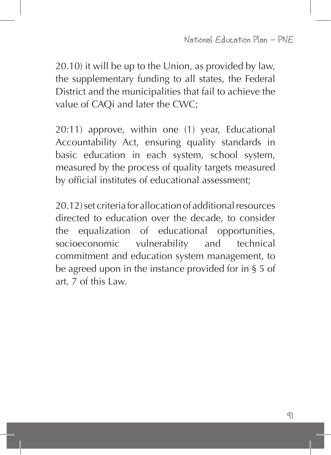20.10) it will be up to the Union, as provided by law, the supplementary funding to all states, the Federal District and the municipalities that fail to achieve the value of CAQi and later the CWC;

20:11) approve, within one (1) year, Educational Accountability Act, ensuring quality standards in basic education in each system, school system, measured by the process of quality targets measured by official institutes of educational assessment;

20.12) set criteria for allocation of additional resources directed to education over the decade, to consider the equalization of educational opportunities, socioeconomic vulnerability and technical commitment and education system management, to be agreed upon in the instance provided for in § 5 of art. 7 of this Law.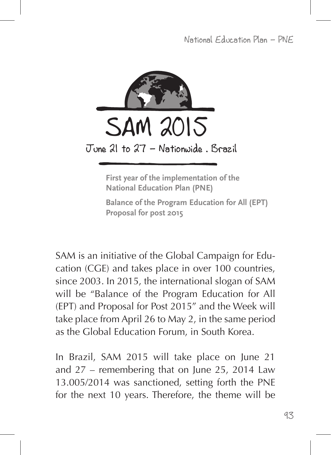

**First year of the implementation of the National Education Plan (PNE)**

**Balance of the Program Education for All (EPT) Proposal for post 2015**

SAM is an initiative of the Global Campaign for Education (CGE) and takes place in over 100 countries, since 2003. In 2015, the international slogan of SAM will be "Balance of the Program Education for All (EPT) and Proposal for Post 2015" and the Week will take place from April 26 to May 2, in the same period as the Global Education Forum, in South Korea.

In Brazil, SAM 2015 will take place on June 21 and 27 – remembering that on June 25, 2014 Law 13.005/2014 was sanctioned, setting forth the PNE for the next 10 years. Therefore, the theme will be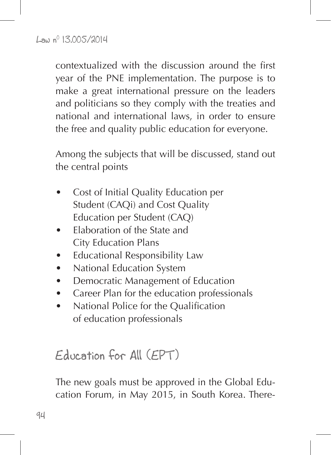contextualized with the discussion around the first year of the PNE implementation. The purpose is to make a great international pressure on the leaders and politicians so they comply with the treaties and national and international laws, in order to ensure the free and quality public education for everyone.

Among the subjects that will be discussed, stand out the central points

- Cost of Initial Quality Education per Student (CAQi) and Cost Quality Education per Student (CAQ)
- Elaboration of the State and City Education Plans
- Educational Responsibility Law
- National Education System
- Democratic Management of Education
- Career Plan for the education professionals
- National Police for the Qualification of education professionals

# Education for All (EPT)

The new goals must be approved in the Global Education Forum, in May 2015, in South Korea. There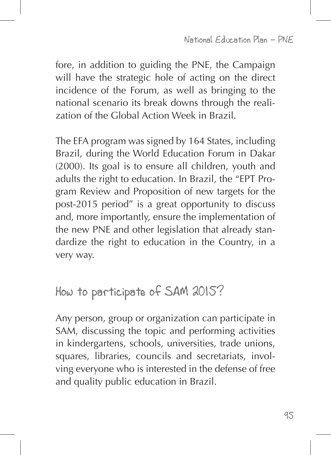fore, in addition to guiding the PNE, the Campaign will have the strategic hole of acting on the direct incidence of the Forum, as well as bringing to the national scenario its break downs through the realization of the Global Action Week in Brazil.

The EFA program was signed by 164 States, including Brazil, during the World Education Forum in Dakar (2000). Its goal is to ensure all children, youth and adults the right to education. In Brazil, the "EPT Program Review and Proposition of new targets for the post-2015 period" is a great opportunity to discuss and, more importantly, ensure the implementation of the new PNE and other legislation that already standardize the right to education in the Country, in a very way.

# How to participate of SAM 2015?

Any person, group or organization can participate in SAM, discussing the topic and performing activities in kindergartens, schools, universities, trade unions, squares, libraries, councils and secretariats, involving everyone who is interested in the defense of free and quality public education in Brazil.